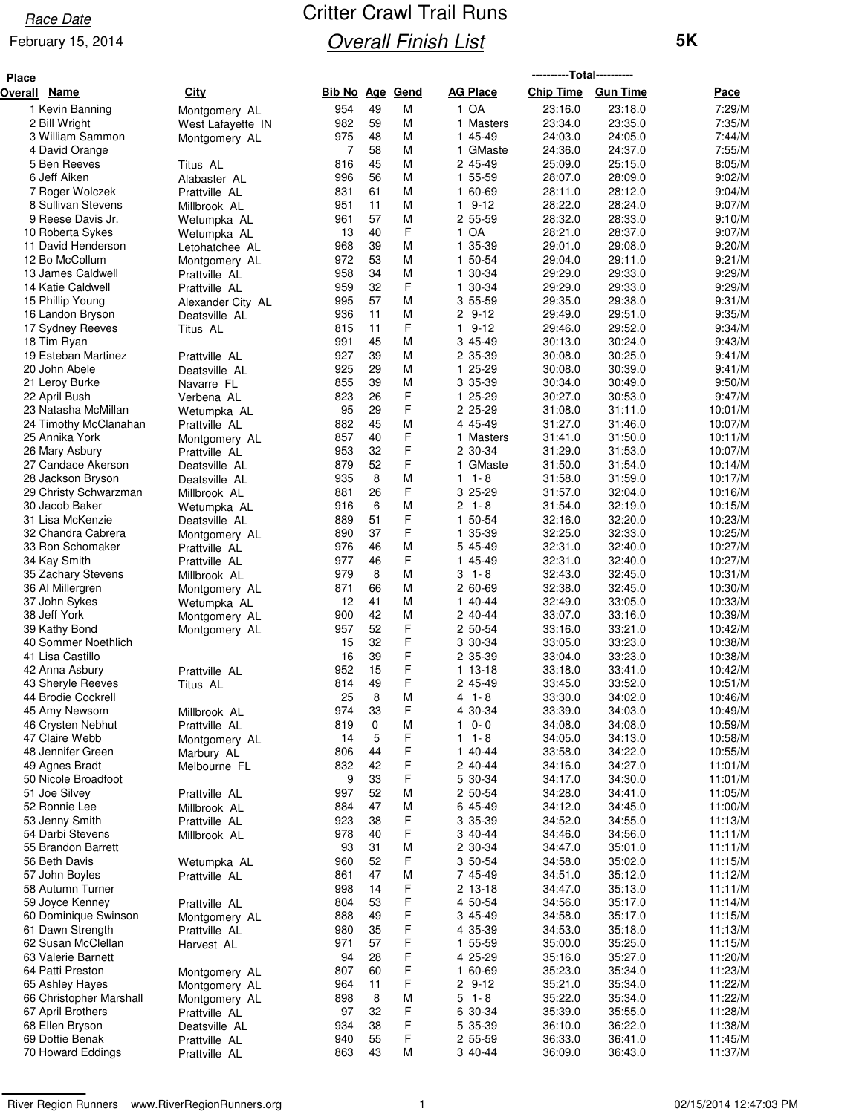### February 15, 2014

| <b>Place</b> |                                        |                                 |                 |          |        |                          | ----------Total---------- |                    |                    |
|--------------|----------------------------------------|---------------------------------|-----------------|----------|--------|--------------------------|---------------------------|--------------------|--------------------|
| Overall Name |                                        | City                            | Bib No Age Gend |          |        | <b>AG Place</b>          | Chip Time Gun Time        |                    | Pace               |
|              | 1 Kevin Banning                        | Montgomery AL                   | 954             | 49       | M      | 1 OA                     | 23:16.0                   | 23:18.0            | 7:29/M             |
|              | 2 Bill Wright                          | West Lafayette IN               | 982             | 59       | М      | 1 Masters                | 23:34.0                   | 23:35.0            | 7:35/M             |
|              | 3 William Sammon                       | Montgomery AL                   | 975             | 48       | М      | 1 45-49                  | 24:03.0                   | 24:05.0            | 7:44/M             |
|              | 4 David Orange                         |                                 | 7               | 58       | М      | 1 GMaste                 | 24:36.0                   | 24:37.0            | 7:55/M             |
|              | 5 Ben Reeves                           | Titus AL                        | 816             | 45       | М      | 2 45-49                  | 25:09.0                   | 25:15.0            | 8:05/M             |
|              | 6 Jeff Aiken                           | Alabaster AL                    | 996             | 56       | М      | 1 55-59                  | 28:07.0                   | 28:09.0            | 9:02/M             |
|              | 7 Roger Wolczek                        | Prattville AL                   | 831             | 61       | М      | 1 60-69                  | 28:11.0                   | 28:12.0            | 9:04/M             |
|              | 8 Sullivan Stevens                     | Millbrook AL                    | 951             | 11       | M      | $19-12$                  | 28:22.0                   | 28:24.0            | 9:07/M             |
|              | 9 Reese Davis Jr.                      | Wetumpka AL                     | 961             | 57<br>40 | M<br>F | 2 55-59                  | 28:32.0                   | 28:33.0            | 9:10/M             |
|              | 10 Roberta Sykes<br>11 David Henderson | Wetumpka AL                     | 13<br>968       | 39       | М      | 1 OA<br>1 35-39          | 28:21.0<br>29:01.0        | 28:37.0<br>29:08.0 | 9:07/M<br>9:20/M   |
|              | 12 Bo McCollum                         | Letohatchee AL<br>Montgomery AL | 972             | 53       | M      | 1 50-54                  | 29:04.0                   | 29:11.0            | 9:21/M             |
|              | 13 James Caldwell                      | Prattville AL                   | 958             | 34       | М      | 1 30-34                  | 29:29.0                   | 29:33.0            | 9:29/M             |
|              | 14 Katie Caldwell                      | Prattville AL                   | 959             | 32       | F      | 1 30-34                  | 29:29.0                   | 29:33.0            | 9:29/M             |
|              | 15 Phillip Young                       | Alexander City AL               | 995             | 57       | М      | 3 55-59                  | 29:35.0                   | 29:38.0            | 9:31/M             |
|              | 16 Landon Bryson                       | Deatsville AL                   | 936             | 11       | М      | 2 9-12                   | 29:49.0                   | 29:51.0            | 9:35/M             |
|              | 17 Sydney Reeves                       | Titus AL                        | 815             | 11       | F      | $\mathbf{1}$<br>$9 - 12$ | 29:46.0                   | 29:52.0            | 9:34/M             |
|              | 18 Tim Ryan                            |                                 | 991             | 45       | М      | 3 45-49                  | 30:13.0                   | 30:24.0            | 9:43/M             |
|              | 19 Esteban Martinez                    | Prattville AL                   | 927             | 39       | М      | 2 35-39                  | 30:08.0                   | 30:25.0            | 9:41/M             |
|              | 20 John Abele                          | Deatsville AL                   | 925             | 29       | M      | 25-29<br>$\mathbf{1}$    | 30:08.0                   | 30:39.0            | 9:41/M             |
|              | 21 Leroy Burke                         | Navarre FL                      | 855             | 39       | М      | 3 35-39                  | 30:34.0                   | 30:49.0            | 9:50/M             |
|              | 22 April Bush                          | Verbena AL                      | 823             | 26       | F      | 1 25-29                  | 30:27.0                   | 30:53.0            | 9:47/M             |
|              | 23 Natasha McMillan                    | Wetumpka AL                     | 95              | 29       | F      | 2 25-29                  | 31:08.0                   | 31:11.0            | 10:01/M            |
|              | 24 Timothy McClanahan                  | Prattville AL                   | 882             | 45       | М      | 4 45-49                  | 31:27.0                   | 31:46.0            | 10:07/M            |
|              | 25 Annika York                         | Montgomery AL                   | 857             | 40       | F<br>F | 1 Masters                | 31:41.0                   | 31:50.0            | 10:11/M            |
|              | 26 Mary Asbury<br>27 Candace Akerson   | Prattville AL<br>Deatsville AL  | 953<br>879      | 32<br>52 | F      | 2 30-34<br>GMaste<br>1.  | 31:29.0<br>31:50.0        | 31:53.0<br>31:54.0 | 10:07/M<br>10:14/M |
|              | 28 Jackson Bryson                      | Deatsville AL                   | 935             | 8        | M      | $1 - 8$<br>1             | 31:58.0                   | 31:59.0            | 10:17/M            |
|              | 29 Christy Schwarzman                  | Millbrook AL                    | 881             | 26       | F      | 3 25-29                  | 31:57.0                   | 32:04.0            | 10:16/M            |
|              | 30 Jacob Baker                         | Wetumpka AL                     | 916             | 6        | M      | 2 1-8                    | 31:54.0                   | 32:19.0            | 10:15/M            |
|              | 31 Lisa McKenzie                       | Deatsville AL                   | 889             | 51       | F      | 1 50-54                  | 32:16.0                   | 32:20.0            | 10:23/M            |
|              | 32 Chandra Cabrera                     | Montgomery AL                   | 890             | 37       | F      | 1 35-39                  | 32:25.0                   | 32:33.0            | 10:25/M            |
|              | 33 Ron Schomaker                       | Prattville AL                   | 976             | 46       | М      | 5 45-49                  | 32:31.0                   | 32:40.0            | 10:27/M            |
|              | 34 Kay Smith                           | Prattville AL                   | 977             | 46       | F      | 1 45-49                  | 32:31.0                   | 32:40.0            | 10:27/M            |
|              | 35 Zachary Stevens                     | Millbrook AL                    | 979             | 8        | М      | $3 - 1 - 8$              | 32:43.0                   | 32:45.0            | 10:31/M            |
|              | 36 Al Millergren                       | Montgomery AL                   | 871             | 66       | М      | 2 60-69                  | 32:38.0                   | 32:45.0            | 10:30/M            |
|              | 37 John Sykes                          | Wetumpka AL                     | 12              | 41       | M      | 1 40-44                  | 32:49.0                   | 33:05.0            | 10:33/M            |
|              | 38 Jeff York                           | Montgomery AL                   | 900             | 42       | M      | 2 40-44                  | 33:07.0                   | 33:16.0            | 10:39/M            |
|              | 39 Kathy Bond                          | Montgomery AL                   | 957             | 52       | F      | 2 50-54                  | 33:16.0                   | 33:21.0            | 10:42/M            |
|              | 40 Sommer Noethlich                    |                                 | 15              | 32<br>39 | F<br>F | 3 30-34                  | 33:05.0                   | 33:23.0            | 10:38/M            |
|              | 41 Lisa Castillo<br>42 Anna Asbury     | Prattville AL                   | 16<br>952       | 15       | F      | 2 35-39<br>1 13-18       | 33:04.0<br>33:18.0        | 33:23.0<br>33:41.0 | 10:38/M<br>10:42/M |
|              | 43 Sheryle Reeves                      | Titus AL                        | 814             | 49       | F      | 2 45-49                  | 33:45.0                   | 33:52.0            | 10:51/M            |
|              | 44 Brodie Cockrell                     |                                 | 25              | 8        | М      | $4 1 - 8$                | 33:30.0                   | 34:02.0            | 10:46/M            |
|              | 45 Amy Newsom                          | Millbrook AL                    | 974             | 33       | F      | 4 30-34                  | 33:39.0                   | 34:03.0            | 10:49/M            |
|              | 46 Crysten Nebhut                      | Prattville AL                   | 819             | 0        | М      | $0 - 0$<br>1.            | 34:08.0                   | 34:08.0            | 10:59/M            |
|              | 47 Claire Webb                         | Montgomery AL                   | 14              | 5        | F      | $1 1 - 8$                | 34:05.0                   | 34:13.0            | 10:58/M            |
|              | 48 Jennifer Green                      | Marbury AL                      | 806             | 44       | F      | 1 40-44                  | 33:58.0                   | 34:22.0            | 10:55/M            |
|              | 49 Agnes Bradt                         | Melbourne FL                    | 832             | 42       | F      | 2 40-44                  | 34:16.0                   | 34:27.0            | 11:01/M            |
|              | 50 Nicole Broadfoot                    |                                 | 9               | 33       | F      | 5 30-34                  | 34:17.0                   | 34:30.0            | 11:01/M            |
|              | 51 Joe Silvey                          | Prattville AL                   | 997             | 52       | М      | 2 50-54                  | 34:28.0                   | 34:41.0            | 11:05/M            |
|              | 52 Ronnie Lee                          | Millbrook AL                    | 884             | 47       | M      | 6 45-49                  | 34:12.0                   | 34:45.0            | 11:00/M            |
|              | 53 Jenny Smith                         | Prattville AL                   | 923             | 38       | F      | 3 35-39                  | 34:52.0                   | 34:55.0            | 11:13/M            |
|              | 54 Darbi Stevens                       | Millbrook AL                    | 978             | 40       | F      | 3 40-44                  | 34:46.0                   | 34:56.0            | 11:11/M            |
|              | 55 Brandon Barrett<br>56 Beth Davis    |                                 | 93<br>960       | 31<br>52 | М<br>F | 2 30-34                  | 34:47.0                   | 35:01.0<br>35:02.0 | 11:11/M            |
|              | 57 John Boyles                         | Wetumpka AL<br>Prattville AL    | 861             | 47       | М      | 3 50-54<br>7 45-49       | 34:58.0<br>34:51.0        | 35:12.0            | 11:15/M<br>11:12/M |
|              | 58 Autumn Turner                       |                                 | 998             | 14       | F      | 2 13-18                  | 34:47.0                   | 35:13.0            | 11:11/M            |
|              | 59 Joyce Kenney                        | Prattville AL                   | 804             | 53       | F      | 4 50-54                  | 34:56.0                   | 35:17.0            | 11:14/M            |
|              | 60 Dominique Swinson                   | Montgomery AL                   | 888             | 49       | F      | 3 45-49                  | 34:58.0                   | 35:17.0            | 11:15/M            |
|              | 61 Dawn Strength                       | Prattville AL                   | 980             | 35       | F      | 4 35-39                  | 34:53.0                   | 35:18.0            | 11:13/M            |
|              | 62 Susan McClellan                     | Harvest AL                      | 971             | 57       | F      | 55-59<br>1.              | 35:00.0                   | 35:25.0            | 11:15/M            |
|              | 63 Valerie Barnett                     |                                 | 94              | 28       | F      | 4 25-29                  | 35:16.0                   | 35:27.0            | 11:20/M            |
|              | 64 Patti Preston                       | Montgomery AL                   | 807             | 60       | F      | 1 60-69                  | 35:23.0                   | 35:34.0            | 11:23/M            |
|              | 65 Ashley Hayes                        | Montgomery AL                   | 964             | 11       | F      | 2 9-12                   | 35:21.0                   | 35:34.0            | 11:22/M            |
|              | 66 Christopher Marshall                | Montgomery AL                   | 898             | 8        | М      | $5 - 1 - 8$              | 35:22.0                   | 35:34.0            | 11:22/M            |
|              | 67 April Brothers                      | Prattville AL                   | 97              | 32       | F      | 6 30-34                  | 35:39.0                   | 35:55.0            | 11:28/M            |
|              | 68 Ellen Bryson                        | Deatsville AL                   | 934             | 38       | F      | 5 35-39                  | 36:10.0                   | 36:22.0            | 11:38/M            |
|              | 69 Dottie Benak                        | Prattville AL                   | 940             | 55       | F      | 2 55-59                  | 36:33.0                   | 36:41.0            | 11:45/M            |
|              | 70 Howard Eddings                      | Prattville AL                   | 863             | 43       | М      | 3 40-44                  | 36:09.0                   | 36:43.0            | 11:37/M            |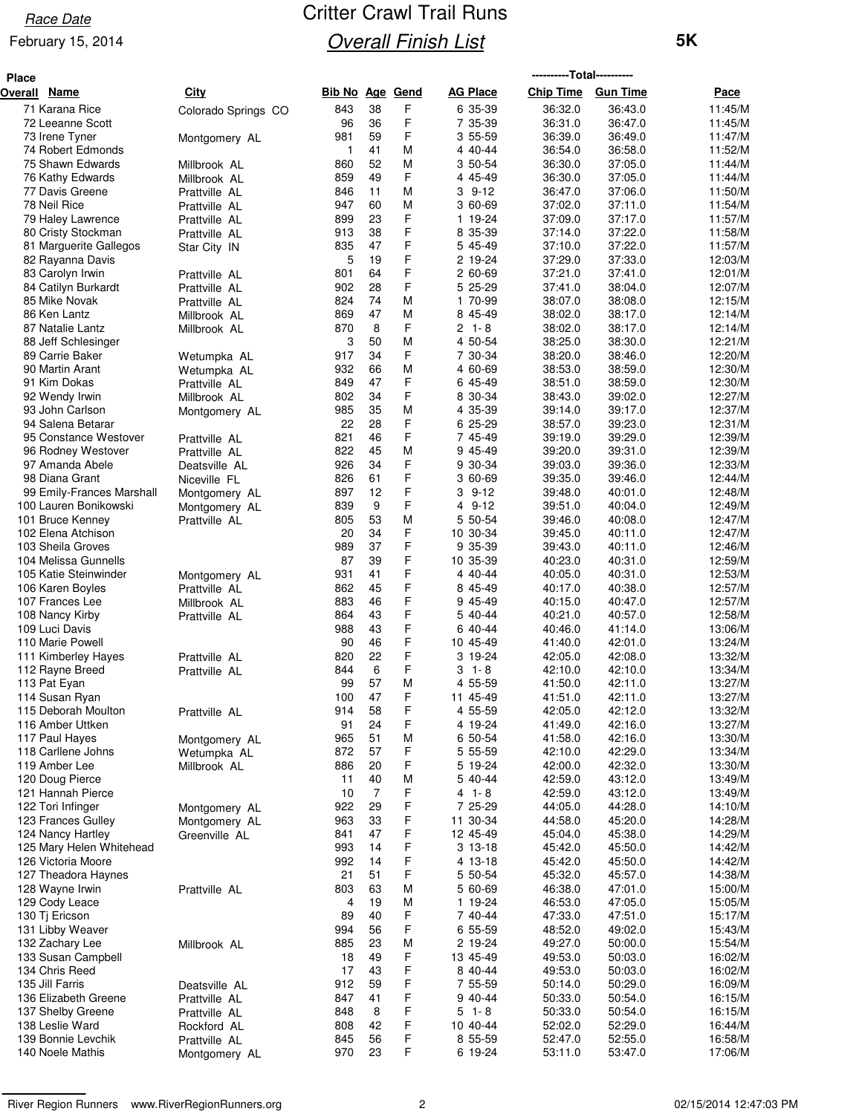### February 15, 2014

| <b>Place</b> |                                                |                                |            |            |             |                        | ----------Total---------- |                    |                    |
|--------------|------------------------------------------------|--------------------------------|------------|------------|-------------|------------------------|---------------------------|--------------------|--------------------|
| Overall      | <b>Name</b>                                    | City                           | Bib No     | <u>Age</u> | <b>Gend</b> | <b>AG Place</b>        | <b>Chip Time</b>          | <b>Gun Time</b>    | Pace               |
|              | 71 Karana Rice                                 | Colorado Springs CO            | 843        | 38         | F           | 6 35-39                | 36:32.0                   | 36:43.0            | 11:45/M            |
|              | 72 Leeanne Scott                               |                                | 96         | 36         | F           | 7 35-39                | 36:31.0                   | 36:47.0            | 11:45/M            |
|              | 73 Irene Tyner                                 | Montgomery AL                  | 981        | 59         | F           | 3 55-59                | 36:39.0                   | 36:49.0            | 11:47/M            |
|              | 74 Robert Edmonds                              |                                | 1          | 41         | M           | 4 40-44                | 36:54.0                   | 36:58.0            | 11:52/M            |
|              | 75 Shawn Edwards                               | Millbrook AL                   | 860        | 52         | М           | 3 50-54                | 36:30.0                   | 37:05.0            | 11:44/M            |
|              | 76 Kathy Edwards<br>77 Davis Greene            | Millbrook AL                   | 859<br>846 | 49<br>11   | F<br>M      | 4 45-49<br>3 9-12      | 36:30.0<br>36:47.0        | 37:05.0<br>37:06.0 | 11:44/M<br>11:50/M |
|              | 78 Neil Rice                                   | Prattville AL<br>Prattville AL | 947        | 60         | М           | 3 60-69                | 37:02.0                   | 37:11.0            | 11:54/M            |
|              | 79 Haley Lawrence                              | Prattville AL                  | 899        | 23         | F           | 1 19-24                | 37:09.0                   | 37:17.0            | 11:57/M            |
|              | 80 Cristy Stockman                             | Prattville AL                  | 913        | 38         | F           | 8 35-39                | 37:14.0                   | 37:22.0            | 11:58/M            |
|              | 81 Marguerite Gallegos                         | Star City IN                   | 835        | 47         | F           | 5 45-49                | 37:10.0                   | 37:22.0            | 11:57/M            |
|              | 82 Rayanna Davis                               |                                | 5          | 19         | F           | 2 19-24                | 37:29.0                   | 37:33.0            | 12:03/M            |
|              | 83 Carolyn Irwin                               | Prattville AL                  | 801        | 64         | F           | 2 60-69                | 37:21.0                   | 37:41.0            | 12:01/M            |
|              | 84 Catilyn Burkardt                            | Prattville AL                  | 902        | 28         | F           | 5 25-29                | 37:41.0                   | 38:04.0            | 12:07/M            |
|              | 85 Mike Novak                                  | Prattville AL                  | 824        | 74         | М           | 1 70-99                | 38:07.0                   | 38:08.0            | 12:15/M            |
|              | 86 Ken Lantz                                   | Millbrook AL                   | 869<br>870 | 47<br>8    | М<br>F      | 8 45-49<br>$21 - 8$    | 38:02.0<br>38:02.0        | 38:17.0<br>38:17.0 | 12:14/M<br>12:14/M |
|              | 87 Natalie Lantz<br>88 Jeff Schlesinger        | Millbrook AL                   | 3          | 50         | M           | 4 50-54                | 38:25.0                   | 38:30.0            | 12:21/M            |
|              | 89 Carrie Baker                                | Wetumpka AL                    | 917        | 34         | F           | 7 30-34                | 38:20.0                   | 38:46.0            | 12:20/M            |
|              | 90 Martin Arant                                | Wetumpka AL                    | 932        | 66         | M           | 4 60-69                | 38:53.0                   | 38:59.0            | 12:30/M            |
|              | 91 Kim Dokas                                   | Prattville AL                  | 849        | 47         | F           | 6 45-49                | 38:51.0                   | 38:59.0            | 12:30/M            |
|              | 92 Wendy Irwin                                 | Millbrook AL                   | 802        | 34         | F           | 8 30-34                | 38:43.0                   | 39:02.0            | 12:27/M            |
|              | 93 John Carlson                                | Montgomery AL                  | 985        | 35         | M           | 4 35-39                | 39:14.0                   | 39:17.0            | 12:37/M            |
|              | 94 Salena Betarar                              |                                | 22         | 28         | F           | 6 25-29                | 38:57.0                   | 39:23.0            | 12:31/M            |
|              | 95 Constance Westover                          | Prattville AL                  | 821        | 46         | F           | 7 45-49                | 39:19.0                   | 39:29.0            | 12:39/M            |
|              | 96 Rodney Westover<br>97 Amanda Abele          | Prattville AL                  | 822<br>926 | 45<br>34   | М<br>F      | 9 45-49<br>9 30-34     | 39:20.0                   | 39:31.0<br>39:36.0 | 12:39/M<br>12:33/M |
|              | 98 Diana Grant                                 | Deatsville AL<br>Niceville FL  | 826        | 61         | F           | 3 60-69                | 39:03.0<br>39:35.0        | 39:46.0            | 12:44/M            |
|              | 99 Emily-Frances Marshall                      | Montgomery AL                  | 897        | 12         | F           | $39-12$                | 39:48.0                   | 40:01.0            | 12:48/M            |
|              | 100 Lauren Bonikowski                          | Montgomery AL                  | 839        | 9          | F           | 4 9-12                 | 39:51.0                   | 40:04.0            | 12:49/M            |
|              | 101 Bruce Kenney                               | Prattville AL                  | 805        | 53         | M           | 5 50-54                | 39:46.0                   | 40:08.0            | 12:47/M            |
|              | 102 Elena Atchison                             |                                | 20         | 34         | F           | 10 30-34               | 39:45.0                   | 40:11.0            | 12:47/M            |
|              | 103 Sheila Groves                              |                                | 989        | 37         | F           | 9 35-39                | 39:43.0                   | 40:11.0            | 12:46/M            |
|              | 104 Melissa Gunnells                           |                                | 87         | 39         | F           | 10 35-39               | 40:23.0                   | 40:31.0            | 12:59/M            |
|              | 105 Katie Steinwinder                          | Montgomery AL                  | 931        | 41         | F           | 4 40-44                | 40:05.0                   | 40:31.0            | 12:53/M            |
|              | 106 Karen Boyles<br>107 Frances Lee            | Prattville AL                  | 862<br>883 | 45<br>46   | F<br>F      | 8 45-49<br>9 45-49     | 40:17.0<br>40:15.0        | 40:38.0<br>40:47.0 | 12:57/M<br>12:57/M |
|              | 108 Nancy Kirby                                | Millbrook AL<br>Prattville AL  | 864        | 43         | F           | 5 40-44                | 40:21.0                   | 40:57.0            | 12:58/M            |
|              | 109 Luci Davis                                 |                                | 988        | 43         | F           | 6 40-44                | 40:46.0                   | 41:14.0            | 13:06/M            |
|              | 110 Marie Powell                               |                                | 90         | 46         | F           | 10 45-49               | 41:40.0                   | 42:01.0            | 13:24/M            |
|              | 111 Kimberley Hayes                            | Prattville AL                  | 820        | 22         | F           | 3 19-24                | 42:05.0                   | 42:08.0            | 13:32/M            |
|              | 112 Rayne Breed                                | Prattville AL                  | 844        | 6          | F           | $3 - 1 - 8$            | 42:10.0                   | 42:10.0            | 13:34/M            |
|              | 113 Pat Eyan                                   |                                | 99         | 57         | M           | 4 55-59                | 41:50.0                   | 42:11.0            | 13:27/M            |
|              | 114 Susan Ryan                                 |                                | 100        | 47         | F           | 11 45-49               | 41:51.0                   | 42:11.0            | 13:27/M            |
|              | 115 Deborah Moulton<br>116 Amber Uttken        | Prattville AL                  | 914<br>91  | 58<br>24   | F<br>F      | 4 55-59<br>4 19-24     | 42:05.0<br>41:49.0        | 42:12.0<br>42:16.0 | 13:32/M<br>13:27/M |
|              | 117 Paul Hayes                                 | Montgomery AL                  | 965        | 51         | М           | 6 50-54                | 41:58.0                   | 42:16.0            | 13:30/M            |
|              | 118 Carllene Johns                             | Wetumpka AL                    | 872        | 57         | F           | 5 55-59                | 42:10.0                   | 42:29.0            | 13:34/M            |
|              | 119 Amber Lee                                  | Millbrook AL                   | 886        | 20         | F           | 5 19-24                | 42:00.0                   | 42:32.0            | 13:30/M            |
|              | 120 Doug Pierce                                |                                | 11         | 40         | М           | 5 40-44                | 42:59.0                   | 43:12.0            | 13:49/M            |
|              | 121 Hannah Pierce                              |                                | 10         | 7          | F           | $4 1 - 8$              | 42:59.0                   | 43:12.0            | 13:49/M            |
|              | 122 Tori Infinger                              | Montgomery AL                  | 922        | 29         | F           | 7 25-29                | 44:05.0                   | 44:28.0            | 14:10/M            |
|              | 123 Frances Gulley                             | Montgomery AL                  | 963        | 33         | F           | 11 30-34               | 44:58.0                   | 45:20.0            | 14:28/M            |
|              | 124 Nancy Hartley                              | Greenville AL                  | 841        | 47         | F           | 12 45-49               | 45:04.0                   | 45:38.0            | 14:29/M            |
|              | 125 Mary Helen Whitehead<br>126 Victoria Moore |                                | 993        | 14         | F           | $313-18$               | 45:42.0                   | 45:50.0            | 14:42/M            |
|              | 127 Theadora Haynes                            |                                | 992<br>21  | 14<br>51   | F<br>F      | 4 13-18<br>5 50-54     | 45:42.0<br>45:32.0        | 45:50.0<br>45:57.0 | 14:42/M<br>14:38/M |
|              | 128 Wayne Irwin                                | Prattville AL                  | 803        | 63         | M           | 5 60-69                | 46:38.0                   | 47:01.0            | 15:00/M            |
|              | 129 Cody Leace                                 |                                | 4          | 19         | М           | 1 19-24                | 46:53.0                   | 47:05.0            | 15:05/M            |
|              | 130 Tj Ericson                                 |                                | 89         | 40         | F           | 7 40-44                | 47:33.0                   | 47:51.0            | 15:17/M            |
|              | 131 Libby Weaver                               |                                | 994        | 56         | F           | 6 55-59                | 48:52.0                   | 49:02.0            | 15:43/M            |
|              | 132 Zachary Lee                                | Millbrook AL                   | 885        | 23         | M           | 2 19-24                | 49:27.0                   | 50:00.0            | 15:54/M            |
|              | 133 Susan Campbell                             |                                | 18         | 49         | F           | 13 45-49               | 49:53.0                   | 50:03.0            | 16:02/M            |
|              | 134 Chris Reed                                 |                                | 17         | 43         | F           | 8 40-44                | 49:53.0                   | 50:03.0            | 16:02/M            |
|              | 135 Jill Farris                                | Deatsville AL                  | 912        | 59         | F           | 7 55-59                | 50:14.0                   | 50:29.0            | 16:09/M            |
|              | 136 Elizabeth Greene<br>137 Shelby Greene      | Prattville AL                  | 847<br>848 | 41<br>8    | F<br>F      | 9 40-44<br>$5 - 1 - 8$ | 50:33.0<br>50:33.0        | 50:54.0<br>50:54.0 | 16:15/M<br>16:15/M |
|              | 138 Leslie Ward                                | Prattville AL<br>Rockford AL   | 808        | 42         | F           | 10 40-44               | 52:02.0                   | 52:29.0            | 16:44/M            |
|              | 139 Bonnie Levchik                             | Prattville AL                  | 845        | 56         | F           | 8 55-59                | 52:47.0                   | 52:55.0            | 16:58/M            |
|              | 140 Noele Mathis                               | Montgomery AL                  | 970        | 23         | F           | 6 19-24                | 53:11.0                   | 53:47.0            | 17:06/M            |
|              |                                                |                                |            |            |             |                        |                           |                    |                    |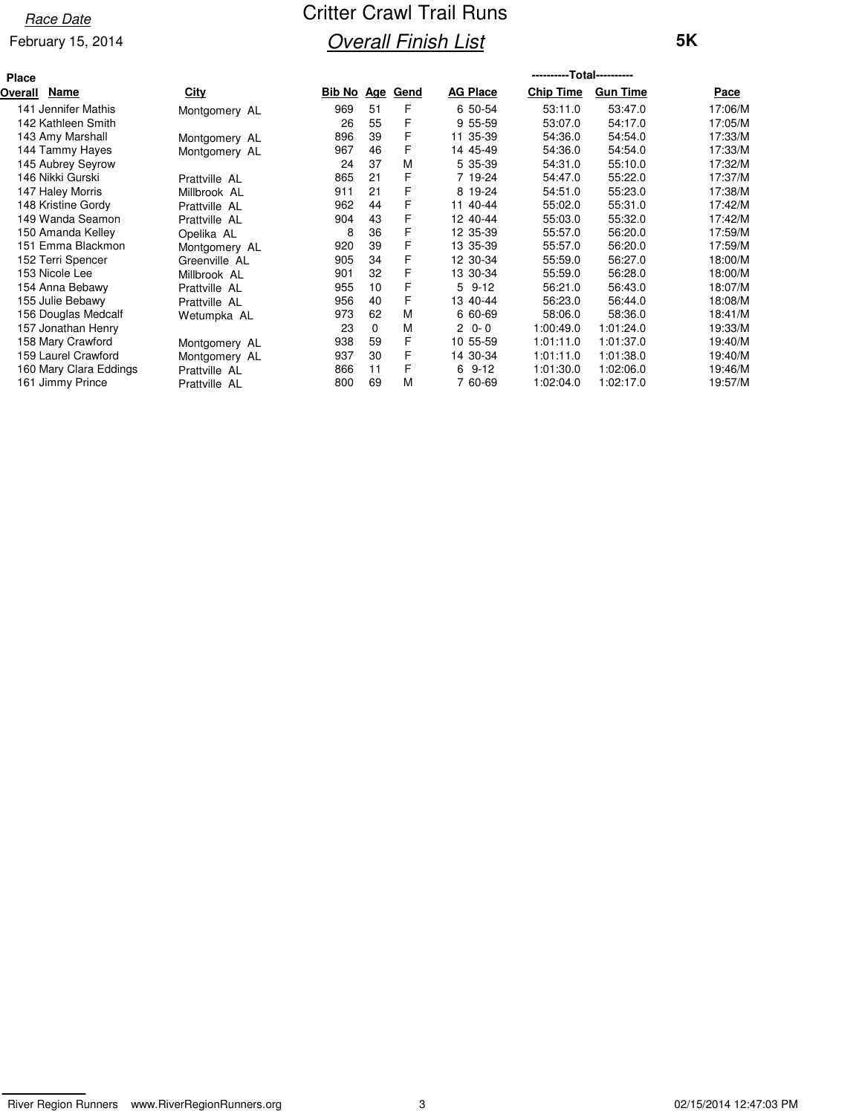### February 15, 2014

| Place          |                        |               |                        |          |   |                 | -----------Total----------- |                 |             |
|----------------|------------------------|---------------|------------------------|----------|---|-----------------|-----------------------------|-----------------|-------------|
| <b>Overall</b> | Name                   | City          | <b>Bib No Age Gend</b> |          |   | <b>AG Place</b> | <b>Chip Time</b>            | <b>Gun Time</b> | <u>Pace</u> |
|                | 141 Jennifer Mathis    | Montgomery AL | 969                    | 51       | F | 6 50-54         | 53:11.0                     | 53:47.0         | 17:06/M     |
|                | 142 Kathleen Smith     |               | 26                     | 55       | F | 9 55-59         | 53:07.0                     | 54:17.0         | 17:05/M     |
|                | 143 Amy Marshall       | Montgomery AL | 896                    | 39       | F | 35-39<br>11     | 54:36.0                     | 54:54.0         | 17:33/M     |
|                | 144 Tammy Hayes        | Montgomery AL | 967                    | 46       | F | 14 45-49        | 54:36.0                     | 54:54.0         | 17:33/M     |
|                | 145 Aubrey Seyrow      |               | 24                     | 37       | M | 5 35-39         | 54:31.0                     | 55:10.0         | 17:32/M     |
|                | 146 Nikki Gurski       | Prattville AL | 865                    | 21       | F | 7 19-24         | 54:47.0                     | 55:22.0         | 17:37/M     |
|                | 147 Haley Morris       | Millbrook AL  | 911                    | 21       | F | 8 19-24         | 54:51.0                     | 55:23.0         | 17:38/M     |
|                | 148 Kristine Gordy     | Prattville AL | 962                    | 44       | F | 11 40-44        | 55:02.0                     | 55:31.0         | 17:42/M     |
|                | 149 Wanda Seamon       | Prattville AL | 904                    | 43       | F | 12 40-44        | 55:03.0                     | 55:32.0         | 17:42/M     |
|                | 150 Amanda Kelley      | Opelika AL    | 8                      | 36       | F | 12 35-39        | 55:57.0                     | 56:20.0         | 17:59/M     |
|                | 151 Emma Blackmon      | Montgomery AL | 920                    | 39       | F | 13 35-39        | 55:57.0                     | 56:20.0         | 17:59/M     |
|                | 152 Terri Spencer      | Greenville AL | 905                    | 34       | F | 12 30-34        | 55:59.0                     | 56:27.0         | 18:00/M     |
|                | 153 Nicole Lee         | Millbrook AL  | 901                    | 32       | F | 13 30-34        | 55:59.0                     | 56:28.0         | 18:00/M     |
|                | 154 Anna Bebawy        | Prattville AL | 955                    | 10       | F | 5<br>$9 - 12$   | 56:21.0                     | 56:43.0         | 18:07/M     |
|                | 155 Julie Bebawy       | Prattville AL | 956                    | 40       | F | 13 40-44        | 56:23.0                     | 56:44.0         | 18:08/M     |
|                | 156 Douglas Medcalf    | Wetumpka AL   | 973                    | 62       | M | 6 60-69         | 58:06.0                     | 58:36.0         | 18:41/M     |
|                | 157 Jonathan Henry     |               | 23                     | $\Omega$ | M | $20 - 0$        | 1:00:49.0                   | 1:01:24.0       | 19:33/M     |
|                | 158 Mary Crawford      | Montgomery AL | 938                    | 59       | F | 10 55-59        | 1:01:11.0                   | 1:01:37.0       | 19:40/M     |
|                | 159 Laurel Crawford    | Montgomery AL | 937                    | 30       | F | 14 30-34        | 1:01:11.0                   | 1:01:38.0       | 19:40/M     |
|                | 160 Mary Clara Eddings | Prattville AL | 866                    | 11       | F | 6<br>$9 - 12$   | 1:01:30.0                   | 1:02:06.0       | 19:46/M     |
|                | 161 Jimmy Prince       | Prattville AL | 800                    | 69       | M | 60-69           | 1:02:04.0                   | 1:02:17.0       | 19:57/M     |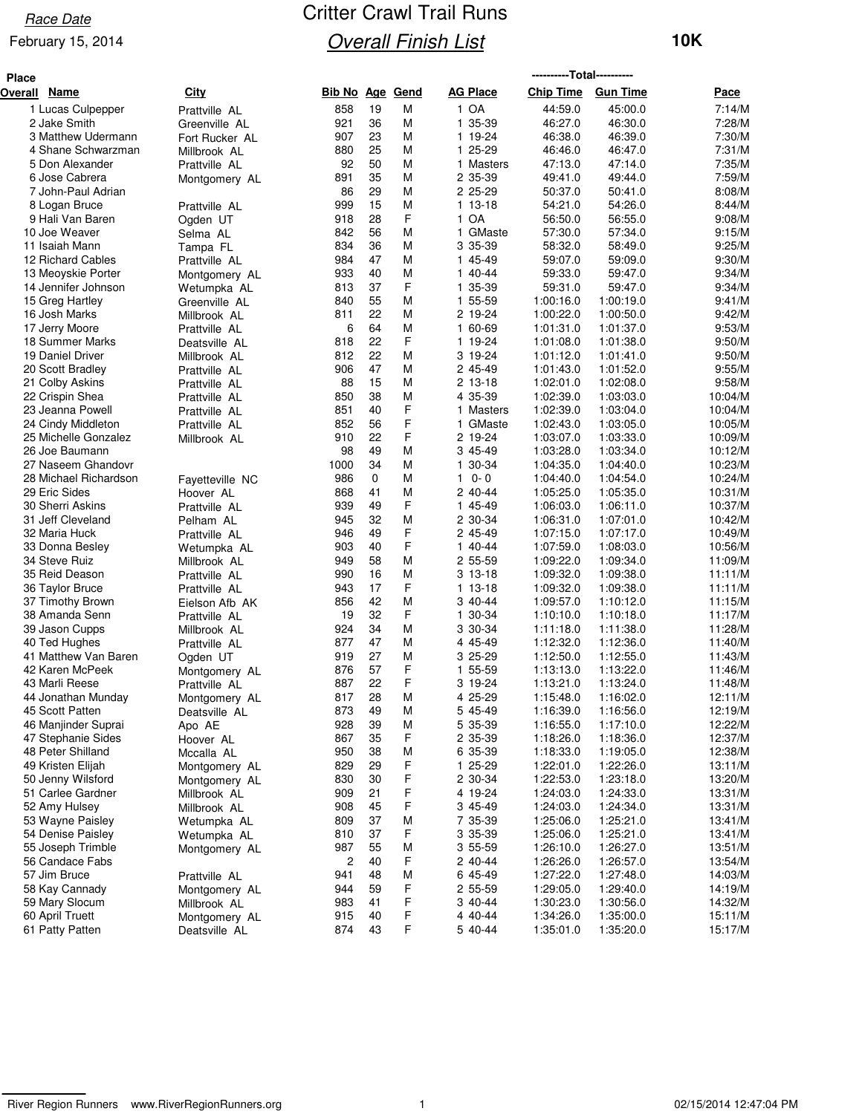### February 15, 2014

| <b>Place</b> |                                       |                 |                 |             |        |                    | ----------Total---------- |                        |                    |
|--------------|---------------------------------------|-----------------|-----------------|-------------|--------|--------------------|---------------------------|------------------------|--------------------|
| Overall Name |                                       | City            | Bib No Age Gend |             |        | <b>AG Place</b>    | <b>Chip Time</b>          | <b>Gun Time</b>        | Pace               |
|              | 1 Lucas Culpepper                     | Prattville AL   | 858             | 19          | M      | 1 OA               | 44:59.0                   | 45:00.0                | 7:14/M             |
|              | 2 Jake Smith                          | Greenville AL   | 921             | 36          | М      | 1 35-39            | 46:27.0                   | 46:30.0                | 7:28/M             |
|              | 3 Matthew Udermann                    | Fort Rucker AL  | 907             | 23          | М      | 1 19-24            | 46:38.0                   | 46:39.0                | 7:30/M             |
|              | 4 Shane Schwarzman                    | Millbrook AL    | 880             | 25          | М      | 1 25-29            | 46:46.0                   | 46:47.0                | 7:31/M             |
|              | 5 Don Alexander                       | Prattville AL   | 92              | 50          | M      | 1 Masters          | 47:13.0                   | 47:14.0                | 7:35/M             |
|              | 6 Jose Cabrera                        | Montgomery AL   | 891             | 35          | M      | 2 35-39            | 49:41.0                   | 49:44.0                | 7:59/M             |
|              | 7 John-Paul Adrian                    |                 | 86              | 29          | М      | 2 25-29            | 50:37.0                   | 50:41.0                | 8:08/M             |
|              | 8 Logan Bruce                         | Prattville AL   | 999             | 15          | М      | 1 13-18            | 54:21.0                   | 54:26.0                | 8:44/M             |
|              | 9 Hali Van Baren                      | Ogden UT        | 918             | 28          | F      | 1 OA               | 56:50.0                   | 56:55.0                | 9:08/M             |
|              | 10 Joe Weaver                         | Selma AL        | 842             | 56          | М      | 1 GMaste           | 57:30.0                   | 57:34.0                | 9:15/M             |
|              | 11 Isaiah Mann                        | Tampa FL        | 834             | 36          | М      | 3 35-39            | 58:32.0                   | 58:49.0                | 9:25/M             |
|              | 12 Richard Cables                     | Prattville AL   | 984             | 47          | M      | 1 45-49            | 59:07.0                   | 59:09.0                | 9:30/M             |
|              | 13 Meoyskie Porter                    | Montgomery AL   | 933             | 40          | M      | 1 40-44            | 59:33.0                   | 59:47.0                | 9:34/M             |
|              | 14 Jennifer Johnson                   | Wetumpka AL     | 813             | 37          | F      | 1 35-39            | 59:31.0                   | 59:47.0                | 9:34/M             |
|              | 15 Greg Hartley                       | Greenville AL   | 840             | 55          | M      | 1 55-59            | 1:00:16.0                 | 1:00:19.0              | 9:41/M             |
|              | 16 Josh Marks                         | Millbrook AL    | 811             | 22          | М      | 2 19-24            | 1:00:22.0                 | 1:00:50.0              | 9:42/M             |
|              | 17 Jerry Moore                        | Prattville AL   | 6               | 64          | M      | 1 60-69            | 1:01:31.0                 | 1:01:37.0              | 9:53/M             |
|              | 18 Summer Marks                       | Deatsville AL   | 818             | 22          | F      | 1 19-24            | 1:01:08.0                 | 1:01:38.0              | 9:50/M             |
|              | 19 Daniel Driver                      | Millbrook AL    | 812             | 22          | M      | 3 19-24            | 1:01:12.0                 | 1:01:41.0              | 9:50/M             |
|              | 20 Scott Bradley<br>21 Colby Askins   | Prattville AL   | 906             | 47<br>15    | М<br>М | 2 45-49            | 1:01:43.0<br>1:02:01.0    | 1:01:52.0<br>1:02:08.0 | 9:55/M<br>9:58/M   |
|              | 22 Crispin Shea                       | Prattville AL   | 88<br>850       | 38          | M      | 2 13-18<br>4 35-39 | 1:02:39.0                 | 1:03:03.0              | 10:04/M            |
|              | 23 Jeanna Powell                      | Prattville AL   | 851             | 40          | F      | 1 Masters          | 1:02:39.0                 | 1:03:04.0              | 10:04/M            |
|              | 24 Cindy Middleton                    | Prattville AL   | 852             | 56          | F      | 1 GMaste           | 1:02:43.0                 | 1:03:05.0              | 10:05/M            |
|              | 25 Michelle Gonzalez                  | Prattville AL   | 910             | 22          | F      | 2 19-24            | 1:03:07.0                 | 1:03:33.0              | 10:09/M            |
|              | 26 Joe Baumann                        | Millbrook AL    | 98              | 49          | М      | 3 45-49            | 1:03:28.0                 | 1:03:34.0              | 10:12/M            |
|              | 27 Naseem Ghandovr                    |                 | 1000            | 34          | M      | 1 30-34            | 1:04:35.0                 | 1:04:40.0              | 10:23/M            |
|              | 28 Michael Richardson                 | Fayetteville NC | 986             | $\mathbf 0$ | М      | $0 - 0$<br>1       | 1:04:40.0                 | 1:04:54.0              | 10:24/M            |
|              | 29 Eric Sides                         | Hoover AL       | 868             | 41          | М      | 2 40-44            | 1:05:25.0                 | 1:05:35.0              | 10:31/M            |
|              | 30 Sherri Askins                      | Prattville AL   | 939             | 49          | F      | 1 45-49            | 1:06:03.0                 | 1:06:11.0              | 10:37/M            |
|              | 31 Jeff Cleveland                     | Pelham AL       | 945             | 32          | М      | 2 30-34            | 1:06:31.0                 | 1:07:01.0              | 10:42/M            |
|              | 32 Maria Huck                         | Prattville AL   | 946             | 49          | F      | 2 45-49            | 1:07:15.0                 | 1:07:17.0              | 10:49/M            |
|              | 33 Donna Besley                       | Wetumpka AL     | 903             | 40          | F      | 1 40-44            | 1:07:59.0                 | 1:08:03.0              | 10:56/M            |
|              | 34 Steve Ruiz                         | Millbrook AL    | 949             | 58          | M      | 2 55-59            | 1:09:22.0                 | 1:09:34.0              | 11:09/M            |
|              | 35 Reid Deason                        | Prattville AL   | 990             | 16          | M      | $313-18$           | 1:09:32.0                 | 1:09:38.0              | 11:11/M            |
|              | 36 Taylor Bruce                       | Prattville AL   | 943             | 17          | F      | $113-18$           | 1:09:32.0                 | 1:09:38.0              | 11:11/M            |
|              | 37 Timothy Brown                      | Eielson Afb AK  | 856             | 42          | M      | 3 40-44            | 1:09:57.0                 | 1:10:12.0              | 11:15/M            |
|              | 38 Amanda Senn                        | Prattville AL   | 19              | 32          | F      | 30-34<br>1         | 1:10:10.0                 | 1:10:18.0              | 11:17/M            |
|              | 39 Jason Cupps                        | Millbrook AL    | 924             | 34          | М      | 3 30-34            | 1:11:18.0                 | 1:11:38.0              | 11:28/M            |
|              | 40 Ted Hughes                         | Prattville AL   | 877             | 47          | М      | 4 45-49            | 1:12:32.0                 | 1:12:36.0              | 11:40/M            |
|              | 41 Matthew Van Baren                  | Ogden UT        | 919             | 27          | М      | 3 25-29            | 1:12:50.0                 | 1:12:55.0              | 11:43/M            |
|              | 42 Karen McPeek                       | Montgomery AL   | 876             | 57          | F      | 1 55-59            | 1:13:13.0                 | 1:13:22.0              | 11:46/M            |
|              | 43 Marli Reese                        | Prattville AL   | 887             | 22          | F      | 3 19-24            | 1:13:21.0                 | 1:13:24.0              | 11:48/M            |
|              | 44 Jonathan Munday                    | Montgomery AL   | 817             | 28          | M      | 4 25-29            | 1:15:48.0                 | 1:16:02.0              | 12:11/M            |
|              | 45 Scott Patten                       | Deatsville AL   | 873             | 49          | M      | 5 45-49            | 1:16:39.0                 | 1:16:56.0              | 12:19/M            |
|              | 46 Manjinder Suprai                   | Apo AE          | 928             | 39          | M      | 5 35-39            | 1:16:55.0                 | 1:17:10.0              | 12:22/M            |
|              | 47 Stephanie Sides                    | Hoover AL       | 867             | 35          | F      | 2 35-39            | 1:18:26.0                 | 1:18:36.0              | 12:37/M            |
|              | 48 Peter Shilland                     | Mccalla AL      | 950             | 38          | M      | 6 35-39            | 1:18:33.0                 | 1:19:05.0              | 12:38/M            |
|              | 49 Kristen Elijah                     | Montgomery AL   | 829             | 29          | F      | 1 25-29            | 1:22:01.0                 | 1:22:26.0              | 13:11/M            |
|              | 50 Jenny Wilsford                     | Montgomery AL   | 830             | 30          | F      | 2 30-34            | 1:22:53.0<br>1:24:03.0    | 1:23:18.0              | 13:20/M            |
|              | 51 Carlee Gardner                     | Millbrook AL    | 909             | 21          | F      | 4 19-24            |                           | 1:24:33.0              | 13:31/M            |
|              | 52 Amy Hulsey                         | Millbrook AL    | 908<br>809      | 45<br>37    | F<br>М | 3 45-49            | 1:24:03.0                 | 1:24:34.0              | 13:31/M            |
|              | 53 Wayne Paisley<br>54 Denise Paisley | Wetumpka AL     | 810             | 37          | F      | 7 35-39<br>3 35-39 | 1:25:06.0<br>1:25:06.0    | 1:25:21.0<br>1:25:21.0 | 13:41/M<br>13:41/M |
|              | 55 Joseph Trimble                     | Wetumpka AL     | 987             | 55          | M      | 3 55-59            | 1:26:10.0                 | 1:26:27.0              | 13:51/M            |
|              | 56 Candace Fabs                       | Montgomery AL   | 2               | 40          | F      | 2 40-44            | 1:26:26.0                 | 1:26:57.0              | 13:54/M            |
|              | 57 Jim Bruce                          | Prattville AL   | 941             | 48          | M      | 6 45-49            | 1:27:22.0                 | 1:27:48.0              | 14:03/M            |
|              | 58 Kay Cannady                        | Montgomery AL   | 944             | 59          | F      | 2 55-59            | 1:29:05.0                 | 1:29:40.0              | 14:19/M            |
|              | 59 Mary Slocum                        | Millbrook AL    | 983             | 41          | F      | 3 40-44            | 1:30:23.0                 | 1:30:56.0              | 14:32/M            |
|              | 60 April Truett                       | Montgomery AL   | 915             | 40          | F      | 4 40-44            | 1:34:26.0                 | 1:35:00.0              | 15:11/M            |
|              | 61 Patty Patten                       | Deatsville AL   | 874             | 43          | F      | 5 40-44            | 1:35:01.0                 | 1:35:20.0              | 15:17/M            |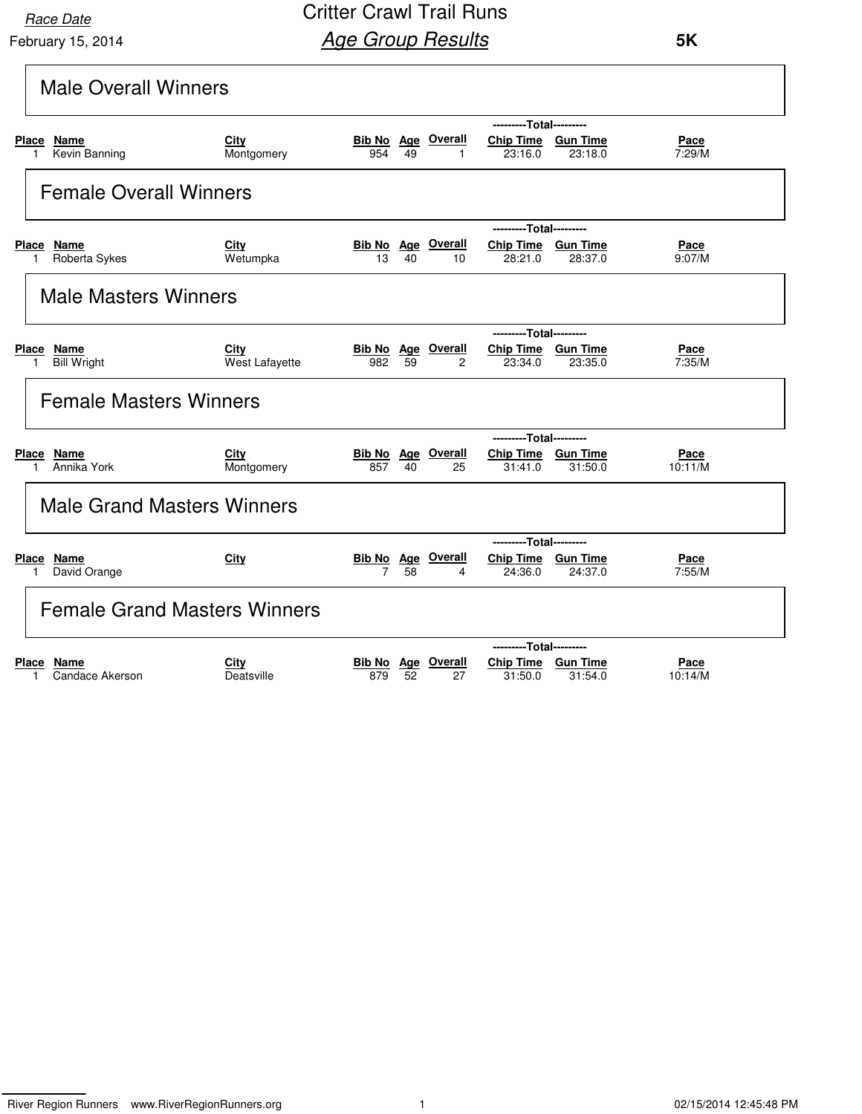February 15, 2014 **Race Date** 

Critter Crawl Trail Runs **Age Group Results** 

| <b>Male Overall Winners</b>                                |                        |                                                                                                                        |
|------------------------------------------------------------|------------------------|------------------------------------------------------------------------------------------------------------------------|
|                                                            |                        | ---------Total---------                                                                                                |
| Place Name<br>Kevin Banning<br>1                           | City<br>Montgomery     | <b>Bib No Age Overall</b><br>Chip Time Gun Time<br>Pace<br>7:29/M<br>954<br>49<br>23:16.0<br>23:18.0<br>$\mathbf{1}$   |
| <b>Female Overall Winners</b>                              |                        |                                                                                                                        |
|                                                            |                        | ---------Total---------                                                                                                |
| <b>Place</b><br><u>Name</u><br>Roberta Sykes<br>1          | City<br>Wetumpka       | <b>Bib No</b> Age Overall<br>Chip Time Gun Time<br><u>Pace</u><br>9:07/M<br>13<br>40<br>10<br>28:21.0<br>28:37.0       |
| <b>Male Masters Winners</b>                                |                        |                                                                                                                        |
|                                                            |                        | ---------Total---------                                                                                                |
| <b>Place</b><br>Name<br><b>Bill Wright</b><br>$\mathbf{1}$ | City<br>West Lafayette | <b>Bib No Age Overall</b><br>Chip Time Gun Time<br>Pace<br>7:35/M<br>982<br>59<br>$\overline{2}$<br>23:34.0<br>23:35.0 |
| <b>Female Masters Winners</b>                              |                        |                                                                                                                        |
|                                                            |                        | ---------Total---------                                                                                                |
| Place Name<br>Annika York<br>1                             | City<br>Montgomery     | <b>Bib No Age Overall</b><br>Chip Time Gun Time<br>Pace<br>857<br>31:50.0<br>10:11/M<br>40<br>25<br>31:41.0            |
| <b>Male Grand Masters Winners</b>                          |                        |                                                                                                                        |
|                                                            |                        | ---------Total---------                                                                                                |
| Place Name<br>David Orange<br>1                            | City                   | <b>Bib No Age Overall</b><br>Chip Time Gun Time<br>Pace<br>$\overline{7}$<br>58<br>7:55/M<br>24:36.0<br>24:37.0<br>4   |
| <b>Female Grand Masters Winners</b>                        |                        |                                                                                                                        |
|                                                            |                        | ---------Total---------                                                                                                |
| Place<br>Name<br>Candace Akerson<br>1                      | City<br>Deatsville     | Overall<br>Chip Time Gun Time<br>Bib No Age<br>Pace<br>52<br>31:50.0<br>31:54.0<br>10:14/M<br>879<br>27                |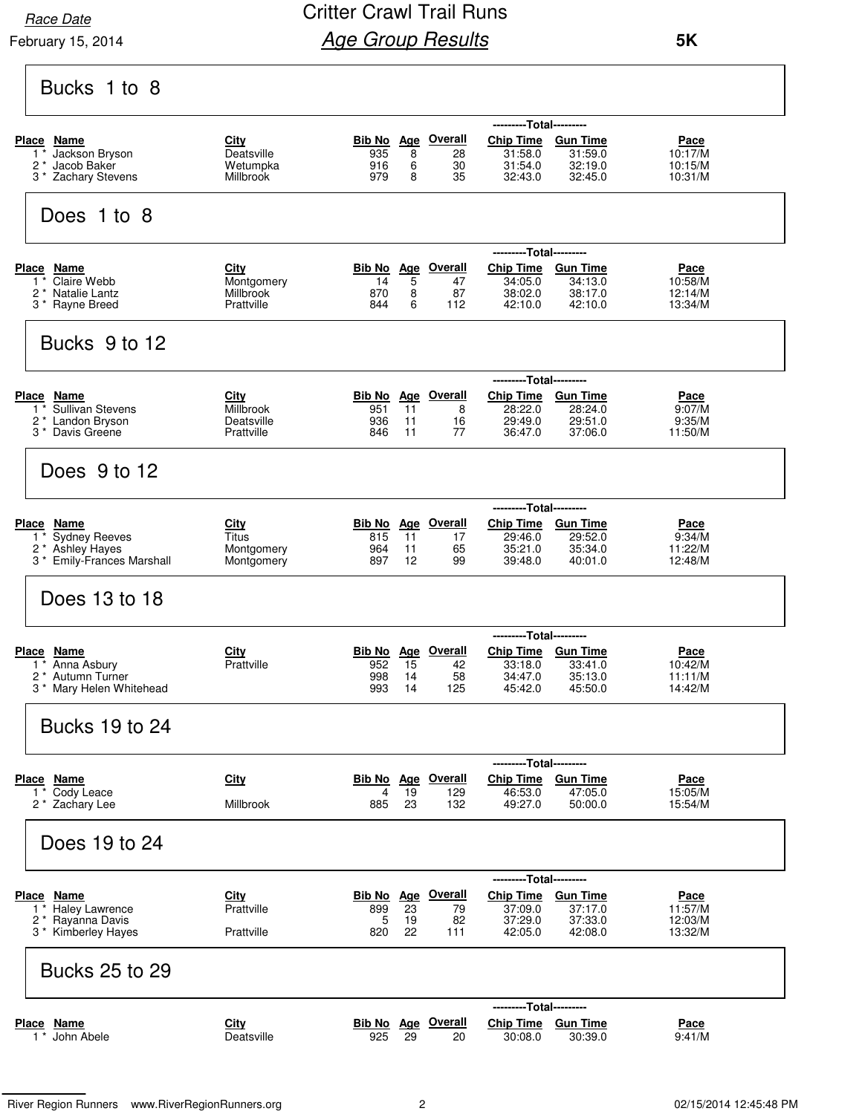**Race Date** 

February 15, 2014

### Critter Crawl Trail Runs **Age Group Results**

| Bucks 1 to 8                                                                                     |                                                      |                                                                                                                                                                                                                                                       |
|--------------------------------------------------------------------------------------------------|------------------------------------------------------|-------------------------------------------------------------------------------------------------------------------------------------------------------------------------------------------------------------------------------------------------------|
| Place Name<br>Jackson Bryson<br>2 <sup>*</sup> Jacob Baker<br>3 * Zachary Stevens                | <u>City</u><br>Deatsville<br>Wetumpka<br>Millbrook   | ---------Total---------<br>Bib No Age Overall<br>Chip Time Gun Time<br>Pace<br>935<br>31:59.0<br>10:17/M<br>8<br>31:58.0<br>28<br>916<br>6<br>31:54.0<br>32:19.0<br>10:15/M<br>30<br>979<br>8<br>35<br>32:43.0<br>32:45.0<br>10:31/M                  |
| Does 1 to 8                                                                                      |                                                      |                                                                                                                                                                                                                                                       |
| Place Name<br>Claire Webb<br>$1^*$<br>2 * Natalie Lantz<br>3 * Rayne Breed                       | <b>City</b><br>Montgomery<br>Millbrook<br>Prattville | ---------Total---------<br><b>Bib No</b> Age Overall<br>Chip Time Gun Time<br><u>Pace</u><br>14<br>5<br>47<br>34:13.0<br>10:58/M<br>34:05.0<br>8<br>870<br>87<br>38:02.0<br>38:17.0<br>12:14/M<br>844<br>6<br>112<br>42:10.0<br>42:10.0<br>13:34/M    |
| Bucks 9 to 12                                                                                    |                                                      |                                                                                                                                                                                                                                                       |
| Place Name<br>1 <sup>*</sup> Sullivan Stevens<br>2* Landon Bryson<br>3 <sup>*</sup> Davis Greene | <b>City</b><br>Millbrook<br>Deatsville<br>Prattville | ---------Total---------<br><b>Bib No Age Overall</b><br>Chip Time Gun Time<br>Pace<br>11<br>951<br>28:22.0<br>28:24.0<br>9:07/M<br>8<br>936<br>11<br>29:49.0<br>29:51.0<br>9:35/M<br>16<br>77<br>846<br>11<br>36:47.0<br>37:06.0<br>11:50/M           |
| Does 9 to 12                                                                                     |                                                      |                                                                                                                                                                                                                                                       |
| Place Name<br>$1^*$<br><b>Sydney Reeves</b><br>2 * Ashley Hayes<br>3 * Emily-Frances Marshall    | City<br>Titus<br>Montgomery<br>Montgomery            | ---------Total---------<br>Bib No Age Overall<br>Chip Time Gun Time<br>Pace<br>11<br>29:46.0<br>29:52.0<br>815<br>9:34/M<br>17<br>35:34.0<br>964<br>35:21.0<br>11:22/M<br>11<br>65<br>897<br>$12 \overline{ }$<br>99<br>39:48.0<br>40:01.0<br>12:48/M |
| Does 13 to 18                                                                                    |                                                      |                                                                                                                                                                                                                                                       |
| <b>Place Name</b><br>1 * Anna Asbury<br>2 <sup>*</sup> Autumn Turner<br>3 * Mary Helen Whitehead | <b>City</b><br>Prattville                            | ---------Total---------<br>Bib No Age Overall<br>Chip Time Gun Time<br><u>Pace</u><br>952<br>15<br>10:42/M<br>33:18.0<br>33:41.0<br>42<br>998<br>14<br>58<br>34:47.0<br>35:13.0<br>11:11/M<br>993<br>125<br>45:50.0<br>14:42/M<br>14<br>45:42.0       |
| <b>Bucks 19 to 24</b>                                                                            |                                                      |                                                                                                                                                                                                                                                       |
| Place Name<br>1 * Cody Leace<br>2 * Zachary Lee                                                  | <b>City</b><br>Millbrook                             | ---------Total---------<br>Bib No Age Overall<br>Chip Time Gun Time<br>Pace<br>4<br>19<br>129<br>46:53.0<br>47:05.0<br>15:05/M<br>23<br>885<br>132<br>50:00.0<br>15:54/M<br>49:27.0                                                                   |
| Does 19 to 24                                                                                    |                                                      |                                                                                                                                                                                                                                                       |
| Place Name<br>1 * Haley Lawrence<br>2 * Rayanna Davis<br>3 * Kimberley Hayes                     | City<br>Prattville<br>Prattville                     | ---------Total---------<br>Chip Time Gun Time<br>Bib No Age Overall<br>Pace<br>899<br>23<br>37:09.0<br>37:17.0<br>79<br>11:57/M<br>5<br>37:33.0<br>12:03/M<br>19<br>82<br>37:29.0<br>820<br>22<br>42:05.0<br>42:08.0<br>13:32/M<br>111                |
| <b>Bucks 25 to 29</b>                                                                            |                                                      |                                                                                                                                                                                                                                                       |
| Place Name<br>$1 *$ John Abele                                                                   | City<br>Deatsville                                   | --Total---------<br>Bib No Age Overall<br><b>Chip Time</b><br><b>Gun Time</b><br><u>Pace</u><br>925<br>29<br>20<br>30:08.0<br>30:39.0<br>9:41/M                                                                                                       |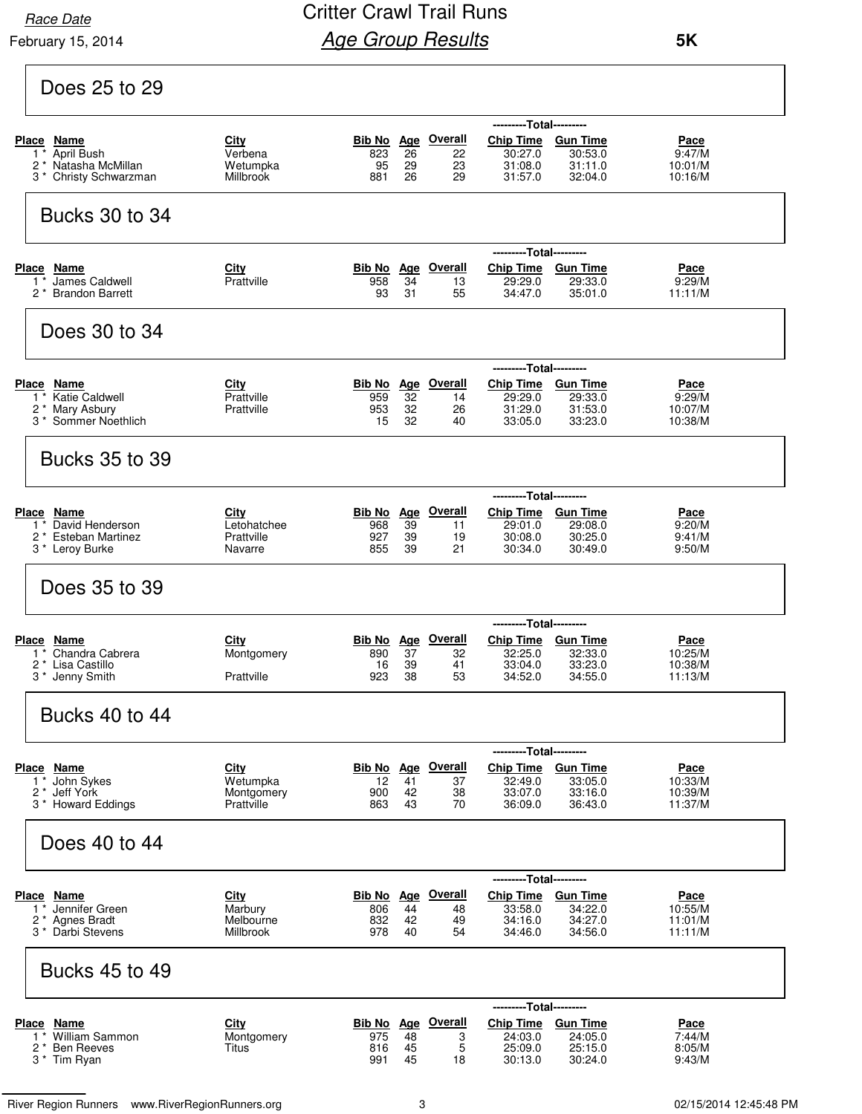**Race Date** 

February 15, 2014

### Critter Crawl Trail Runs **Age Group Results**

| Does 25 to 29                                                                                              |                                                     |                                                                                                                                                                                                                                                                     |
|------------------------------------------------------------------------------------------------------------|-----------------------------------------------------|---------------------------------------------------------------------------------------------------------------------------------------------------------------------------------------------------------------------------------------------------------------------|
| Place Name<br>1 <sup>*</sup> April Bush<br>2 <sup>*</sup> Natasha McMillan<br>3 * Christy Schwarzman       | City<br>Verbena<br>Wetumpka<br>Millbrook            | ---------Total---------<br>Age Overall<br><b>Chip Time</b><br><b>Gun Time</b><br>Bib No<br>Pace<br>26<br>30:27.0<br>30:53.0<br>9:47/M<br>823<br>22<br>95<br>23<br>29<br>31:08.0<br>31:11.0<br>10:01/M<br>26<br>29<br>31:57.0<br>881<br>32:04.0<br>10:16/M           |
| <b>Bucks 30 to 34</b>                                                                                      |                                                     |                                                                                                                                                                                                                                                                     |
| Place Name<br>James Caldwell<br>$1^*$<br>2 <sup>*</sup> Brandon Barrett                                    | City<br>Prattville                                  | ---------Total---------<br><b>Bib No</b> Age Overall<br><b>Chip Time</b><br><b>Gun Time</b><br><u>Pace</u><br>958<br>34<br>13<br>29:29.0<br>29:33.0<br>9:29/M<br>93<br>31<br>55<br>34:47.0<br>35:01.0<br>11:11/M                                                    |
| Does 30 to 34                                                                                              |                                                     |                                                                                                                                                                                                                                                                     |
| Place Name<br>1 * Katie Caldwell<br>2 * Mary Asbury<br>3 <sup>*</sup> Sommer Noethlich                     | City<br>Prattville<br>Prattville                    | ---Total---------<br>Bib No Age Overall<br>Chip Time Gun Time<br>Pace<br>32<br>959<br>29:29.0<br>29:33.0<br>9:29/M<br>14<br>32<br>31:53.0<br>953<br>26<br>31:29.0<br>10:07/M<br>32<br>15<br>33:05.0<br>33:23.0<br>10:38/M<br>40                                     |
| <b>Bucks 35 to 39</b>                                                                                      |                                                     |                                                                                                                                                                                                                                                                     |
| <b>Place Name</b><br>1 <sup>*</sup> David Henderson<br>2 * Esteban Martinez<br>3 * Leroy Burke             | <u>City</u><br>Letohatchee<br>Prattville<br>Navarre | ---------Total---------<br><b>Bib No</b> Age Overall<br><b>Chip Time</b><br><b>Gun Time</b><br><u>Pace</u><br>39<br>968<br>29:01.0<br>29:08.0<br>11<br>9:20/M<br>927<br>39<br>30:08.0<br>30:25.0<br>9:41/M<br>19<br>855<br>21<br>39<br>30:34.0<br>30:49.0<br>9:50/M |
| Does 35 to 39                                                                                              |                                                     |                                                                                                                                                                                                                                                                     |
| Place Name<br>1 <sup>*</sup> Chandra Cabrera<br>2 <sup>*</sup> Lisa Castillo<br>3 <sup>*</sup> Jenny Smith | City<br>Montgomery<br>Prattville                    | ---------Total---------<br>Age Overall<br><b>Chip Time</b><br>Bib No<br><b>Gun Time</b><br>Pace<br>890<br>37<br>32:25.0<br>32:33.0<br>10:25/M<br>32<br>16<br>39<br>41<br>33:04.0<br>33:23.0<br>10:38/M<br>923<br>38<br>53<br>34:52.0<br>34:55.0<br>11:13/M          |
| <b>Bucks 40 to 44</b>                                                                                      |                                                     |                                                                                                                                                                                                                                                                     |
| Place Name<br>$1*$ John Sykes<br>2 <sup>*</sup> Jeff York<br>3 * Howard Eddings                            | City<br>Wetumpka<br>Montgomery<br>Prattville        | ---------Total---------<br><b>Chip Time</b><br><b>Bib No</b> Age Overall<br><b>Gun Time</b><br>Pace<br>41<br>12<br>32:49.0<br>33:05.0<br>10:33/M<br>37<br>42<br>33:07.0<br>33:16.0<br>10:39/M<br>900<br>38<br>43<br>70<br>863<br>36:09.0<br>36:43.0<br>11:37/M      |
| Does 40 to 44                                                                                              |                                                     |                                                                                                                                                                                                                                                                     |
| Place Name<br>Jennifer Green<br>1 *<br>2 <sup>*</sup> Agnes Bradt<br>3 <sup>*</sup> Darbi Stevens          | City<br>Marbury<br>Melbourne<br>Millbrook           | ---------Total---------<br><b>Bib No</b> Age Overall<br>Chip Time Gun Time<br><u>Pace</u><br>44<br>34:22.0<br>806<br>33:58.0<br>10:55/M<br>48<br>832<br>42<br>34:16.0<br>34:27.0<br>11:01/M<br>49<br>978<br>34:46.0<br>34:56.0<br>11:11/M<br>40<br>54               |
| <b>Bucks 45 to 49</b>                                                                                      |                                                     |                                                                                                                                                                                                                                                                     |
| Place Name<br>1 <sup>*</sup> William Sammon<br>2* Ben Reeves<br>3 <sup>*</sup> Tim Ryan                    | <b>City</b><br>Montgomery<br>Titus                  | ---------Total---------<br><b>Bib No</b> Age Overall<br>Chip Time Gun Time<br><u>Pace</u><br>975<br>48<br>3<br>24:03.0<br>24:05.0<br>7:44/M<br>5<br>45<br>25:09.0<br>25:15.0<br>8:05/M<br>816<br>991<br>45<br>30:13.0<br>30:24.0<br>9:43/M<br>18                    |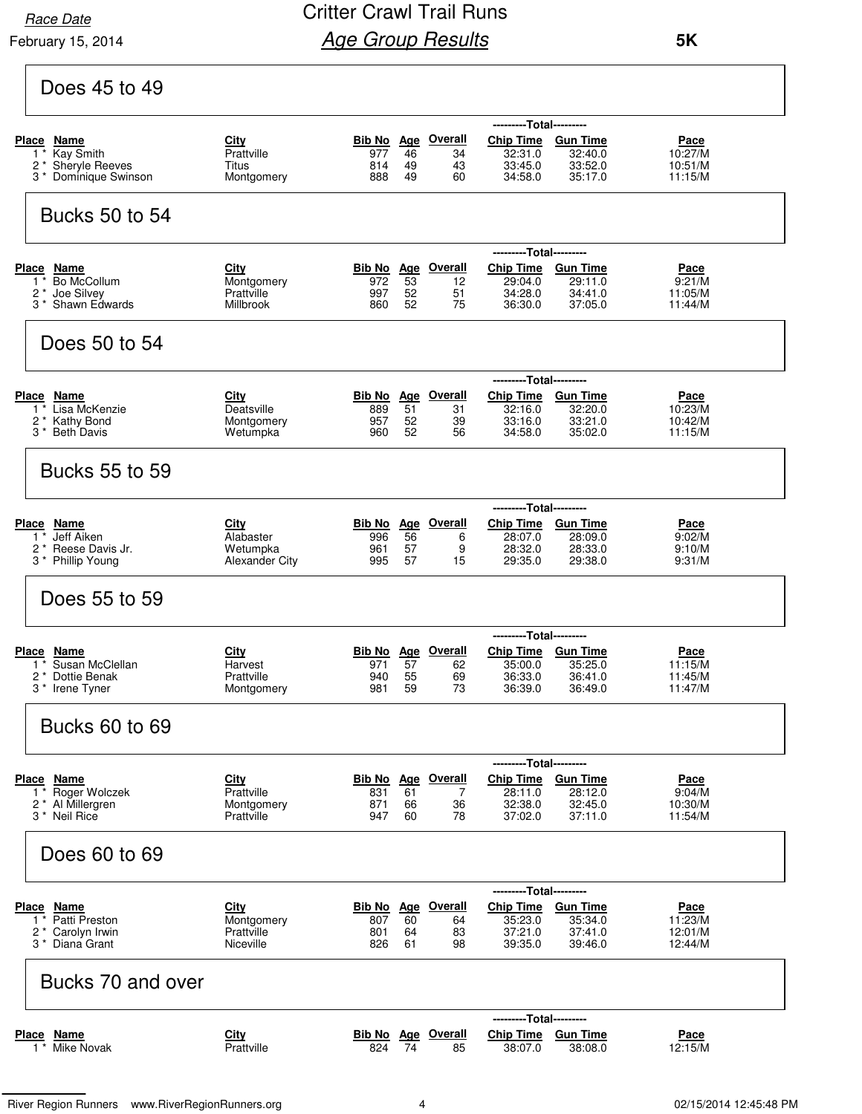**Race Date** 

February 15, 2014

## Critter Crawl Trail Runs **Age Group Results**

| Does 45 to 49                                                                                   |                                                             |                                                            |                                              |                                                                                |                                                    |                                              |
|-------------------------------------------------------------------------------------------------|-------------------------------------------------------------|------------------------------------------------------------|----------------------------------------------|--------------------------------------------------------------------------------|----------------------------------------------------|----------------------------------------------|
| Place Name<br>Kay Smith<br>$1^*$<br>2 * Sheryle Reeves<br>3 * Dominique Swinson                 | <b>City</b><br>Prattville<br>Titus<br>Montgomery            | Bib No Age<br>977<br>814<br>49<br>888                      | Overall<br>46<br>34<br>43<br>60<br>49        | ---------Total---------<br><b>Chip Time</b><br>32:31.0<br>33:45.0<br>34:58.0   | <b>Gun Time</b><br>32:40.0<br>33:52.0<br>35:17.0   | Pace<br>10:27/M<br>10:51/M<br>11:15/M        |
| Bucks 50 to 54                                                                                  |                                                             |                                                            |                                              |                                                                                |                                                    |                                              |
| <b>Place</b><br>Name<br>Bo McCollum<br>$1^*$<br>2 * Joe Silvey<br>3 <sup>*</sup> Shawn Edwards  | <b>City</b><br>Montgomery<br>Prattville<br><b>Millbrook</b> | <b>Bib No</b><br><u>Age</u><br>53<br>972<br>997<br>860     | <b>Overall</b><br>12<br>52<br>51<br>52<br>75 | ---------Total---------<br><b>Chip Time</b><br>29:04.0<br>34:28.0<br>36:30.0   | <b>Gun Time</b><br>29:11.0<br>34:41.0<br>37:05.0   | <u>Pace</u><br>9:21/M<br>11:05/M<br>11:44/M  |
| Does 50 to 54                                                                                   |                                                             |                                                            |                                              |                                                                                |                                                    |                                              |
| Place Name<br>$1^*$<br>Lisa McKenzie<br>$2^*$<br><b>Kathy Bond</b><br>3 <sup>*</sup> Beth Davis | <b>City</b><br>Deatsville<br>Montgomery<br>Wetumpka         | Bib No<br><b>Age</b><br>889<br>51<br>957<br>960            | <b>Overall</b><br>31<br>52<br>39<br>52<br>56 | ---------Total---------<br><b>Chip Time</b><br>32:16.0<br>33:16.0<br>34:58.0   | <b>Gun Time</b><br>32:20.0<br>33:21.0<br>35:02.0   | <u>Pace</u><br>10:23/M<br>10:42/M<br>11:15/M |
| <b>Bucks 55 to 59</b>                                                                           |                                                             |                                                            |                                              |                                                                                |                                                    |                                              |
| Place Name<br>Jeff Aiken<br>$1^*$<br>2* Reese Davis Jr.<br>3 * Phillip Young                    | City<br>Alabaster<br>Wetumpka<br><b>Alexander City</b>      | Bib No Age<br>56<br>996<br>961<br>995                      | <b>Overall</b><br>6<br>57<br>9<br>57<br>15   | ---------Total---------<br><b>Chip Time</b><br>28:07.0<br>28:32.0<br>29:35.0   | <b>Gun Time</b><br>28:09.0<br>28:33.0<br>29:38.0   | Pace<br>9:02/M<br>9:10/M<br>9:31/M           |
| Does 55 to 59                                                                                   |                                                             |                                                            |                                              |                                                                                |                                                    |                                              |
| Place<br>Name<br>Susan McClellan<br>1.<br>2 * Dottie Benak<br>3 * Irene Tyner                   | City<br>Harvest<br>Prattville<br>Montgomery                 | <u>Age</u><br>Bib No<br>57<br>971<br>940<br>981<br>59      | Overall<br>62<br>55<br>69<br>73              | ------<br>Chip Time Gun Time<br>35:00.0<br>36:33.0<br>36:39.0                  | ---Total---------<br>35:25.0<br>36:41.0<br>36:49.0 | <u>Pace</u><br>11:15/M<br>11:45/M<br>11:47/M |
| <b>Bucks 60 to 69</b>                                                                           |                                                             |                                                            |                                              |                                                                                |                                                    |                                              |
| Place Name<br>1* Roger Wolczek<br>2 <sup>*</sup> Al Millergren<br>3 <sup>*</sup> Neil Rice      | <b>City</b><br>Prattville<br>Montgomery<br>Prattville       | <b>Bib No Age</b><br>831<br>61<br>871<br>947               | <u>Overall</u><br>7<br>36<br>66<br>60<br>78  | ---------Total---------<br>Chip Time Gun Time<br>28:11.0<br>32:38.0<br>37:02.0 | 28:12.0<br>32:45.0<br>37:11.0                      | <u>Pace</u><br>9:04/M<br>10:30/M<br>11:54/M  |
| Does 60 to 69                                                                                   |                                                             |                                                            |                                              |                                                                                |                                                    |                                              |
| <b>Place Name</b><br>1 * Patti Preston<br>2 * Carolyn Irwin<br>3 <sup>*</sup> Diana Grant       | <b>City</b><br>Montgomery<br>Prattville<br>Niceville        | <b>Bib No</b> Age Overall<br>807<br>60<br>801<br>826<br>61 | 64<br>83<br>64<br>98                         | ---------Total---------<br>Chip Time Gun Time<br>35:23.0<br>37:21.0<br>39:35.0 | 35:34.0<br>37:41.0<br>39:46.0                      | <u>Pace</u><br>11:23/M<br>12:01/M<br>12:44/M |
| Bucks 70 and over                                                                               |                                                             |                                                            |                                              |                                                                                |                                                    |                                              |
| <b>Place Name</b><br>1 * Mike Novak                                                             | <u>City</u><br>Prattville                                   | <b>Bib No</b> Age Overall<br>74<br>824                     | 85                                           | ---------Total---------<br>Chip Time Gun Time<br>38:07.0                       | 38:08.0                                            | <u>Pace</u><br>12:15/M                       |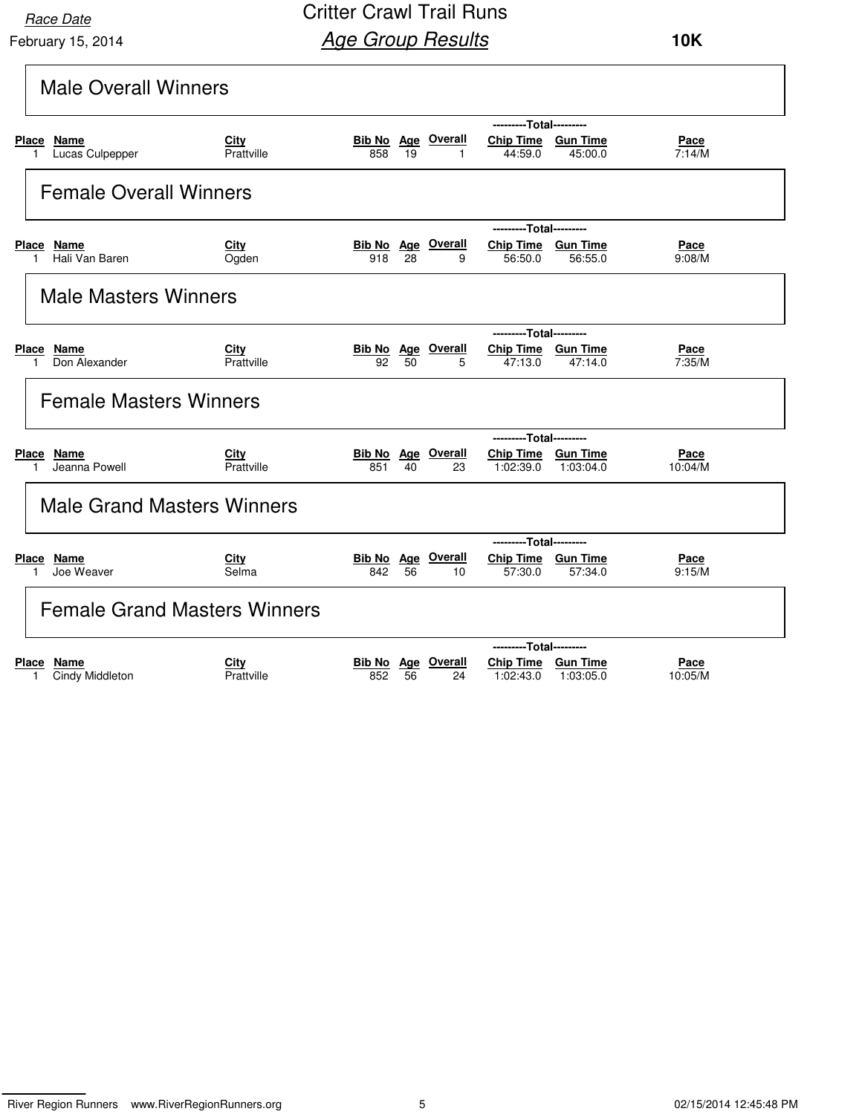February 15, 2014 **Race Date** 

Critter Crawl Trail Runs **Age Group Results** 

 **10K**

| <b>Male Overall Winners</b>             |                      |     |    |                                 |                                                            |           |                        |
|-----------------------------------------|----------------------|-----|----|---------------------------------|------------------------------------------------------------|-----------|------------------------|
| Place Name<br>Lucas Culpepper           | City<br>Prattville   | 858 | 19 | <b>Bib No</b> Age Overall       | ---------Total---------<br>Chip Time Gun Time<br>44:59.0   | 45:00.0   | <u>Pace</u><br>7:14/M  |
| <b>Female Overall Winners</b>           |                      |     |    |                                 |                                                            |           |                        |
| Place Name<br>Hali Van Baren            | <b>City</b><br>Ogden | 918 | 28 | <b>Bib No Age Overall</b><br>9  | ---------Total---------<br>Chip Time Gun Time<br>56:50.0   | 56:55.0   | Pace<br>9:08/M         |
| <b>Male Masters Winners</b>             |                      |     |    |                                 |                                                            |           |                        |
| Place Name<br>Don Alexander<br>1        | City<br>Prattville   | 92  | 50 | <b>Bib No Age Overall</b><br>5  | ---------Total---------<br>Chip Time Gun Time<br>47:13.0   | 47:14.0   | Pace<br>7:35/M         |
| <b>Female Masters Winners</b>           |                      |     |    |                                 |                                                            |           |                        |
| Place Name<br>Jeanna Powell             | City<br>Prattville   | 851 | 40 | <b>Bib No Age Overall</b><br>23 | ---------Total---------<br>Chip Time Gun Time<br>1:02:39.0 | 1:03:04.0 | Pace<br>10:04/M        |
| <b>Male Grand Masters Winners</b>       |                      |     |    |                                 |                                                            |           |                        |
| Place Name<br>Joe Weaver                | <b>City</b><br>Selma | 842 | 56 | <b>Bib No Age Overall</b><br>10 | ---------Total---------<br>Chip Time Gun Time<br>57:30.0   | 57:34.0   | Pace<br>9:15/M         |
| <b>Female Grand Masters Winners</b>     |                      |     |    |                                 |                                                            |           |                        |
| <b>Place</b><br>Name<br>Cindy Middleton | City<br>Prattville   | 852 | 56 | <b>Bib No Age Overall</b><br>24 | ---------Total---------<br>Chip Time Gun Time<br>1:02:43.0 | 1:03:05.0 | <u>Pace</u><br>10:05/M |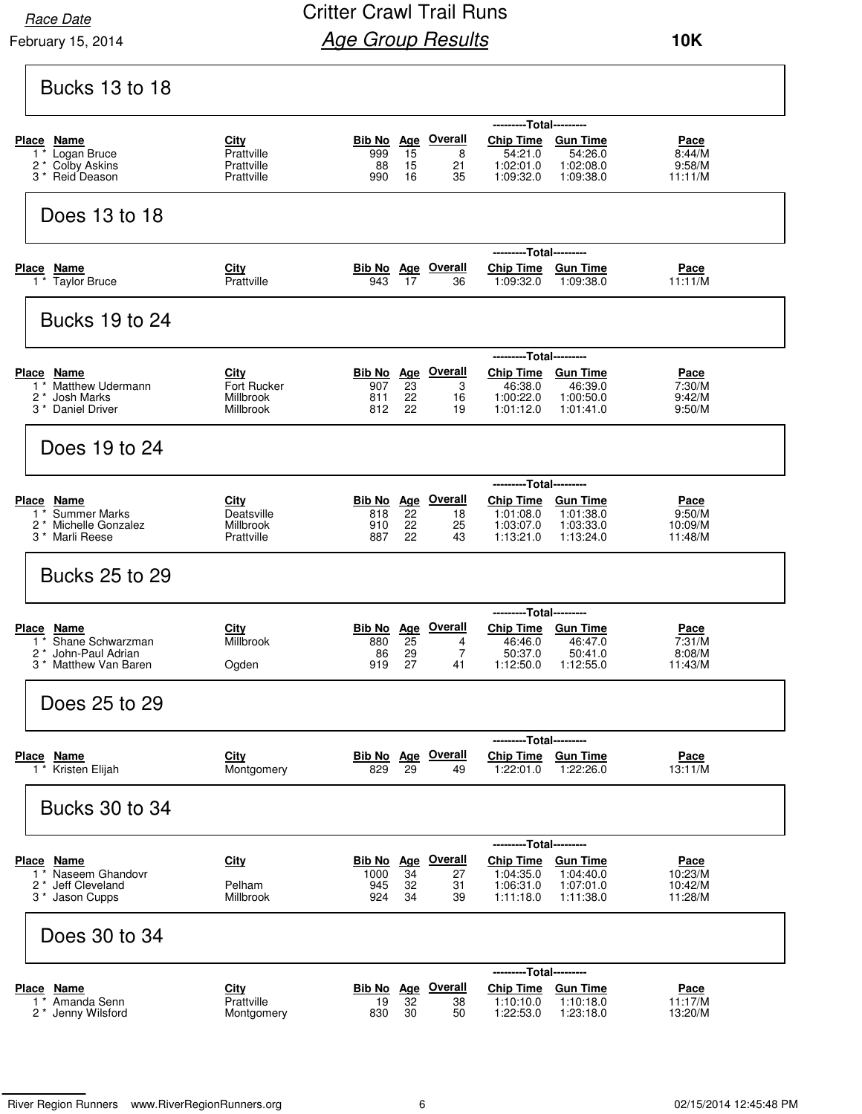February 15, 2014

### Critter Crawl Trail Runs **Age Group Results**

| <b>Bucks 13 to 18</b>                                                                                          |                                                      |                                                                                                                                                                                                                                                                       |
|----------------------------------------------------------------------------------------------------------------|------------------------------------------------------|-----------------------------------------------------------------------------------------------------------------------------------------------------------------------------------------------------------------------------------------------------------------------|
| Place Name<br>Logan Bruce<br>$1^*$<br>Colby Askins<br>2 *<br>3 <sup>*</sup> Reid Deason                        | City<br>Prattville<br>Prattville<br>Prattville       | ---------Total---------<br><b>Bib No Age Overall</b><br>Chip Time Gun Time<br>Pace<br>15<br>8<br>999<br>54:21.0<br>54:26.0<br>8:44/M<br>88<br>15<br>21<br>1:02:01.0<br>1:02:08.0<br>9:58/M<br>990<br>16<br>35<br>1:09:32.0<br>1:09:38.0<br>11:11/M                    |
| Does 13 to 18                                                                                                  |                                                      |                                                                                                                                                                                                                                                                       |
| <b>Place</b><br>Name<br>$\overline{1}$ Taylor Bruce                                                            | City<br>Prattville                                   | ---Total---------<br><b>Bib No Age Overall</b><br><b>Chip Time</b><br><b>Gun Time</b><br><u>Pace</u><br>943<br>17<br>1:09:32.0<br>1:09:38.0<br>11:11/M<br>36                                                                                                          |
| <b>Bucks 19 to 24</b>                                                                                          |                                                      |                                                                                                                                                                                                                                                                       |
| Place Name<br><b>Matthew Udermann</b><br>1<br>$2^*$<br>Josh Marks<br>3 <sup>*</sup> Daniel Driver              | City<br><b>Fort Rucker</b><br>Millbrook<br>Millbrook | ---------Total---------<br><b>Bib No Age Overall</b><br>Chip Time Gun Time<br>Pace<br>23<br>46:38.0<br>46:39.0<br>907<br>3<br>7:30/M<br>22<br>1:00:22.0<br>1:00:50.0<br>811<br>16<br>9:42/M<br>22<br>812<br>1:01:12.0<br>1:01:41.0<br>19<br>9:50/M                    |
| Does 19 to 24                                                                                                  |                                                      |                                                                                                                                                                                                                                                                       |
| <b>Place</b><br>Name<br><b>Summer Marks</b><br>$1^*$<br>2 *<br>Michelle Gonzalez<br>3 <sup>*</sup> Marli Reese | <u>City</u><br>Deatsville<br>Millbrook<br>Prattville | ---------Total---------<br><b>Bib No</b> Age Overall<br>Chip Time Gun Time<br><u>Pace</u><br>22<br>818<br>1:01:08.0<br>1:01:38.0<br>9:50/M<br>18<br>22<br>1:03:07.0<br>910<br>25<br>1:03:33.0<br>10:09/M<br>887<br>22<br>1:13:21.0<br>43<br>1:13:24.0<br>11:48/M      |
| <b>Bucks 25 to 29</b>                                                                                          |                                                      |                                                                                                                                                                                                                                                                       |
| Place Name<br>Shane Schwarzman<br>$1^*$<br>John-Paul Adrian<br>2<br>Matthew Van Baren<br>3                     | City<br>Millbrook<br>Ogden                           | ---------Total---------<br>Bib No Age Overall<br>Chip Time Gun Time<br>Pace<br>$\overline{25}$<br>880<br>46:46.0<br>46:47.0<br>7:31/M<br>4<br>$\overline{7}$<br>86<br>29<br>50:37.0<br>50:41.0<br>8:08/M<br>27<br>919<br>1:12:50.0<br>41<br>1:12:55.0<br>11:43/M      |
| Does 25 to 29                                                                                                  |                                                      |                                                                                                                                                                                                                                                                       |
| Place Name<br>1 <sup>*</sup> Kristen Elijah                                                                    | City<br>Montgomery                                   | ---------Total---------<br><b>Bib No</b> Age Overall<br>Chip Time Gun Time<br><u>Pace</u><br>13:11/M<br>829<br>29<br>1:22:01.0<br>1:22:26.0<br>49                                                                                                                     |
| <b>Bucks 30 to 34</b>                                                                                          |                                                      |                                                                                                                                                                                                                                                                       |
| Place Name<br>Naseem Ghandovr<br>$1^*$<br>* Jeff Cleveland<br>2<br>3 <sup>*</sup> Jason Cupps                  | City<br>Pelham<br>Millbrook                          | ---------Total---------<br>Bib No Age Overall<br><b>Chip Time</b><br><b>Gun Time</b><br>Pace<br>34<br>1:04:35.0<br>1:04:40.0<br>10:23/M<br>1000<br>27<br>945<br>32<br>31<br>1:06:31.0<br>1:07:01.0<br>10:42/M<br>924<br>34<br>1:11:18.0<br>1:11:38.0<br>11:28/M<br>39 |
| Does 30 to 34                                                                                                  |                                                      |                                                                                                                                                                                                                                                                       |
| Place Name<br>Amanda Senn<br>1<br>2 * Jenny Wilsford                                                           | City<br>Prattville<br>Montgomery                     | ---------Total---------<br><b>Bib No</b> Age Overall<br><b>Chip Time</b><br><b>Gun Time</b><br><u>Pace</u><br>32<br>19<br>1:10:10.0<br>1:10:18.0<br>11:17/M<br>38<br>30<br>1:22:53.0<br>1:23:18.0<br>13:20/M<br>830<br>50                                             |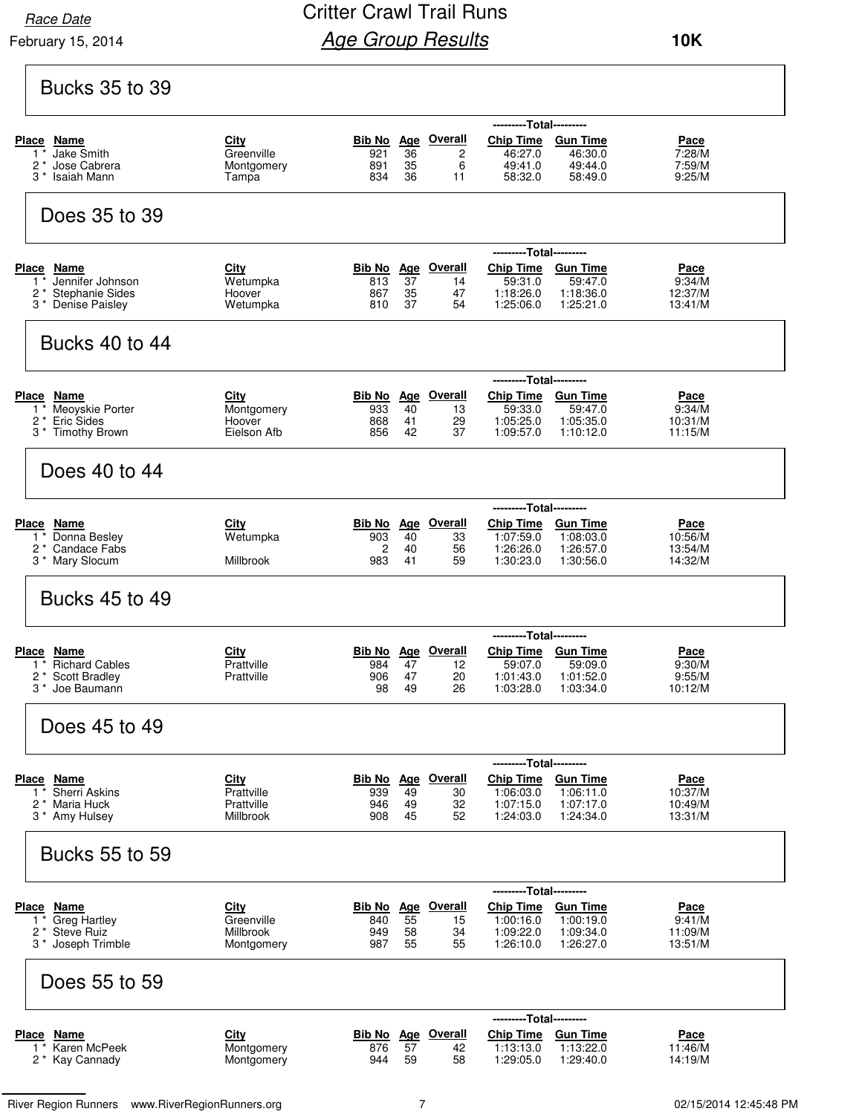February 15, 2014 **Race Date** 

### Critter Crawl Trail Runs **Age Group Results**

| <b>Bucks 35 to 39</b>                                                                        |                                                      |                                    |                              |                                             |                                                                                    |                                                        |                                             |
|----------------------------------------------------------------------------------------------|------------------------------------------------------|------------------------------------|------------------------------|---------------------------------------------|------------------------------------------------------------------------------------|--------------------------------------------------------|---------------------------------------------|
| Place Name<br><b>Jake Smith</b><br>1<br>2 *<br>Jose Cabrera<br>Isaiah Mann<br>3 *            | <u>City</u><br>Greenville<br>Montgomery<br>Tampa     | 921<br>891<br>834                  | 36<br>35<br>36               | Bib No Age Overall<br>2<br>6<br>11          | ---------Total---------<br><b>Chip Time</b><br>46:27.0<br>49:41.0<br>58:32.0       | <b>Gun Time</b><br>46:30.0<br>49:44.0<br>58:49.0       | Pace<br>7:28/M<br>7:59/M<br>9:25/M          |
| Does 35 to 39                                                                                |                                                      |                                    |                              |                                             |                                                                                    |                                                        |                                             |
| Place Name<br>Jennifer Johnson<br>1 *<br>2 *<br><b>Stephanie Sides</b><br>3 * Denise Paisley | City<br>Wetumpka<br>Hoover<br>Wetumpka               | <u>Bib No</u><br>813<br>867<br>810 | 37<br>35<br>37               | Age Overall<br>14<br>47<br>54               | ---------Total---------<br><b>Chip Time</b><br>59:31.0<br>1:18:26.0<br>1:25:06.0   | Gun Time<br>59:47.0<br>1:18:36.0<br>1:25:21.0          | <u>Pace</u><br>9:34/M<br>12:37/M<br>13:41/M |
| Bucks 40 to 44                                                                               |                                                      |                                    |                              |                                             |                                                                                    |                                                        |                                             |
| Place Name<br>Meoyskie Porter<br>$1^*$<br>2 <sup>*</sup> Eric Sides<br>3 * Timothy Brown     | City<br>Montgomery<br>Hoover<br>Eielson Afb          | 933<br>868<br>856                  | 40<br>41<br>42               | <b>Bib No Age Overall</b><br>13<br>29<br>37 | ---------Total---------<br>Chip Time Gun Time<br>59:33.0<br>1:05:25.0<br>1:09:57.0 | 59:47.0<br>1:05:35.0<br>1:10:12.0                      | Pace<br>9:34/M<br>10:31/M<br>11:15/M        |
| Does 40 to 44                                                                                |                                                      |                                    |                              |                                             |                                                                                    |                                                        |                                             |
| Place Name<br>Donna Besley<br>$1^*$<br>2 <sup>*</sup> Candace Fabs<br>3 * Mary Slocum        | City<br>Wetumpka<br>Millbrook                        | 903<br>2<br>983                    | 40<br>40<br>41               | <b>Bib No</b> Age Overall<br>33<br>56<br>59 | ---------Total---------<br><b>Chip Time</b><br>1:07:59.0<br>1:26:26.0<br>1:30:23.0 | <b>Gun Time</b><br>1:08:03.0<br>1:26:57.0<br>1:30:56.0 | Pace<br>10:56/M<br>13:54/M<br>14:32/M       |
| <b>Bucks 45 to 49</b>                                                                        |                                                      |                                    |                              |                                             |                                                                                    |                                                        |                                             |
| Place<br><u>Name</u><br><b>Richard Cables</b><br><b>Scott Bradley</b><br>3 * Joe Baumann     | <b>City</b><br>Prattville<br>Prattville              | Bib No<br>984<br>906<br>98         | 47<br>47<br>49               | Age Overall<br>12<br>20<br>26               | ---------Total---------<br><b>Chip Time</b><br>59:07.0<br>1:01:43.0<br>1:03:28.0   | <b>Gun Time</b><br>59:09.0<br>1:01:52.0<br>1:03:34.0   | <u>Pace</u><br>9:30/M<br>9:55/M<br>10:12/M  |
| Does 45 to 49                                                                                |                                                      |                                    |                              |                                             |                                                                                    |                                                        |                                             |
| Place Name<br><b>Sherri Askins</b><br>$1^*$<br>Maria Huck<br>2 *<br>3 * Amy Hulsey           | <b>City</b><br>Prattville<br>Prattville<br>Millbrook | Bib No<br>939<br>946<br>908        | <u>Age</u><br>49<br>49<br>45 | <b>Overall</b><br>30<br>32<br>52            | ---------Total---------<br><b>Chip Time</b><br>1:06:03.0<br>1:07:15.0<br>1:24:03.0 | <b>Gun Time</b><br>1:06:11.0<br>1:07:17.0<br>1:24:34.0 | Pace<br>10:37/M<br>10:49/M<br>13:31/M       |
| Bucks 55 to 59                                                                               |                                                      |                                    |                              |                                             |                                                                                    |                                                        |                                             |
| Place Name<br><b>Greg Hartley</b><br>1<br>2 <sup>*</sup> Steve Ruiz<br>3 * Joseph Trimble    | City<br>Greenville<br>Millbrook<br>Montgomery        | 840<br>949<br>987                  | 55<br>58<br>55               | Bib No Age Overall<br>15<br>34<br>55        | ---------Total---------<br><b>Chip Time</b><br>1:00:16.0<br>1:09:22.0<br>1:26:10.0 | <b>Gun Time</b><br>1:00:19.0<br>1:09:34.0<br>1:26:27.0 | Pace<br>9:41/M<br>11:09/M<br>13:51/M        |
| Does 55 to 59                                                                                |                                                      |                                    |                              |                                             |                                                                                    |                                                        |                                             |
| <b>Place Name</b><br>Karen McPeek<br>$1^*$<br>2 * Kay Cannady                                | <u>City</u><br>Montgomery<br>Montgomery              | 876<br>944                         | 57<br>59                     | <b>Bib No</b> Age Overall<br>42<br>58       | ---------Total---------<br>Chip Time Gun Time<br>1:13:13.0<br>1:29:05.0            | 1:13:22.0<br>1:29:40.0                                 | <b>Pace</b><br>11:46/M<br>14:19/M           |